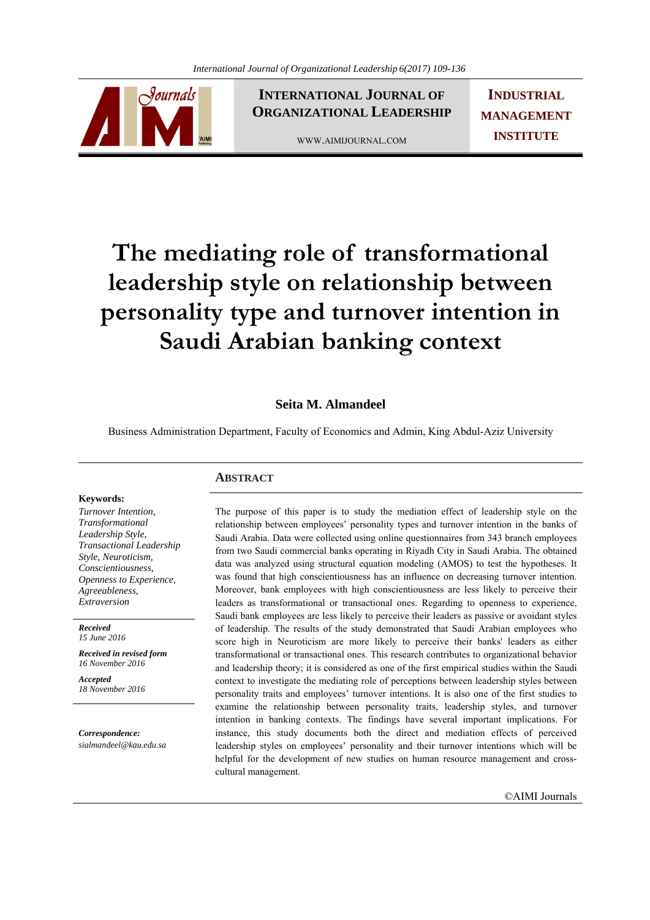

**INTERNATIONAL JOURNAL OF ORGANIZATIONAL LEADERSHIP**

WWW.AIMIJOURNAL.COM

**INDUSTRIAL MANAGEMENT INSTITUTE**

# **The mediating role of transformational leadership style on relationship between personality type and turnover intention in Saudi Arabian banking context**

#### **Seita M. Almandeel**

Business Administration Department, Faculty of Economics and Admin, King Abdul-Aziz University

#### **ABSTRACT**

The purpose of this paper is to study the mediation effect of leadership style on the relationship between employees' personality types and turnover intention in the banks of Saudi Arabia. Data were collected using online questionnaires from 343 branch employees from two Saudi commercial banks operating in Riyadh City in Saudi Arabia. The obtained data was analyzed using structural equation modeling (AMOS) to test the hypotheses. It was found that high conscientiousness has an influence on decreasing turnover intention. Moreover, bank employees with high conscientiousness are less likely to perceive their leaders as transformational or transactional ones. Regarding to openness to experience, Saudi bank employees are less likely to perceive their leaders as passive or avoidant styles of leadership. The results of the study demonstrated that Saudi Arabian employees who score high in Neuroticism are more likely to perceive their banks' leaders as either transformational or transactional ones. This research contributes to organizational behavior and leadership theory; it is considered as one of the first empirical studies within the Saudi context to investigate the mediating role of perceptions between leadership styles between personality traits and employees' turnover intentions. It is also one of the first studies to examine the relationship between personality traits, leadership styles, and turnover intention in banking contexts. The findings have several important implications. For instance, this study documents both the direct and mediation effects of perceived leadership styles on employees' personality and their turnover intentions which will be helpful for the development of new studies on human resource management and crosscultural management.

*Leadership Style,* 

**Keywords:**  *Turnover Intention, Transformational* 

*Transactional Leadership Style, Neuroticism, Conscientiousness, Openness to Experience, Agreeableness, Extraversion*

*Received 15 June 2016* 

*Received in revised form 16 November 2016* 

*Accepted 18 November 2016*

*Correspondence: sialmandeel@kau.edu.sa* 

©AIMI Journals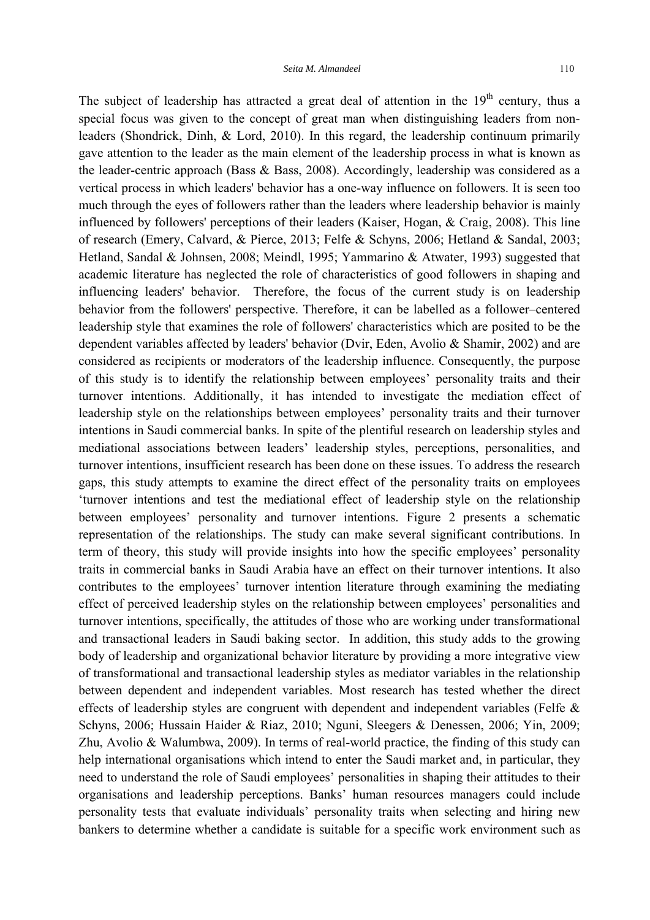The subject of leadership has attracted a great deal of attention in the  $19<sup>th</sup>$  century, thus a special focus was given to the concept of great man when distinguishing leaders from nonleaders (Shondrick, Dinh, & Lord, 2010). In this regard, the leadership continuum primarily gave attention to the leader as the main element of the leadership process in what is known as the leader-centric approach (Bass & Bass, 2008). Accordingly, leadership was considered as a vertical process in which leaders' behavior has a one-way influence on followers. It is seen too much through the eyes of followers rather than the leaders where leadership behavior is mainly influenced by followers' perceptions of their leaders (Kaiser, Hogan, & Craig, 2008). This line of research (Emery, Calvard, & Pierce, 2013; Felfe & Schyns, 2006; Hetland & Sandal, 2003; Hetland, Sandal & Johnsen, 2008; Meindl, 1995; Yammarino & Atwater, 1993) suggested that academic literature has neglected the role of characteristics of good followers in shaping and influencing leaders' behavior. Therefore, the focus of the current study is on leadership behavior from the followers' perspective. Therefore, it can be labelled as a follower–centered leadership style that examines the role of followers' characteristics which are posited to be the dependent variables affected by leaders' behavior (Dvir, Eden, Avolio & Shamir, 2002) and are considered as recipients or moderators of the leadership influence. Consequently, the purpose of this study is to identify the relationship between employees' personality traits and their turnover intentions. Additionally, it has intended to investigate the mediation effect of leadership style on the relationships between employees' personality traits and their turnover intentions in Saudi commercial banks. In spite of the plentiful research on leadership styles and mediational associations between leaders' leadership styles, perceptions, personalities, and turnover intentions, insufficient research has been done on these issues. To address the research gaps, this study attempts to examine the direct effect of the personality traits on employees 'turnover intentions and test the mediational effect of leadership style on the relationship between employees' personality and turnover intentions. Figure 2 presents a schematic representation of the relationships. The study can make several significant contributions. In term of theory, this study will provide insights into how the specific employees' personality traits in commercial banks in Saudi Arabia have an effect on their turnover intentions. It also contributes to the employees' turnover intention literature through examining the mediating effect of perceived leadership styles on the relationship between employees' personalities and turnover intentions, specifically, the attitudes of those who are working under transformational and transactional leaders in Saudi baking sector. In addition, this study adds to the growing body of leadership and organizational behavior literature by providing a more integrative view of transformational and transactional leadership styles as mediator variables in the relationship between dependent and independent variables. Most research has tested whether the direct effects of leadership styles are congruent with dependent and independent variables (Felfe & Schyns, 2006; Hussain Haider & Riaz, 2010; Nguni, Sleegers & Denessen, 2006; Yin, 2009; Zhu, Avolio & Walumbwa, 2009). In terms of real-world practice, the finding of this study can help international organisations which intend to enter the Saudi market and, in particular, they need to understand the role of Saudi employees' personalities in shaping their attitudes to their organisations and leadership perceptions. Banks' human resources managers could include personality tests that evaluate individuals' personality traits when selecting and hiring new bankers to determine whether a candidate is suitable for a specific work environment such as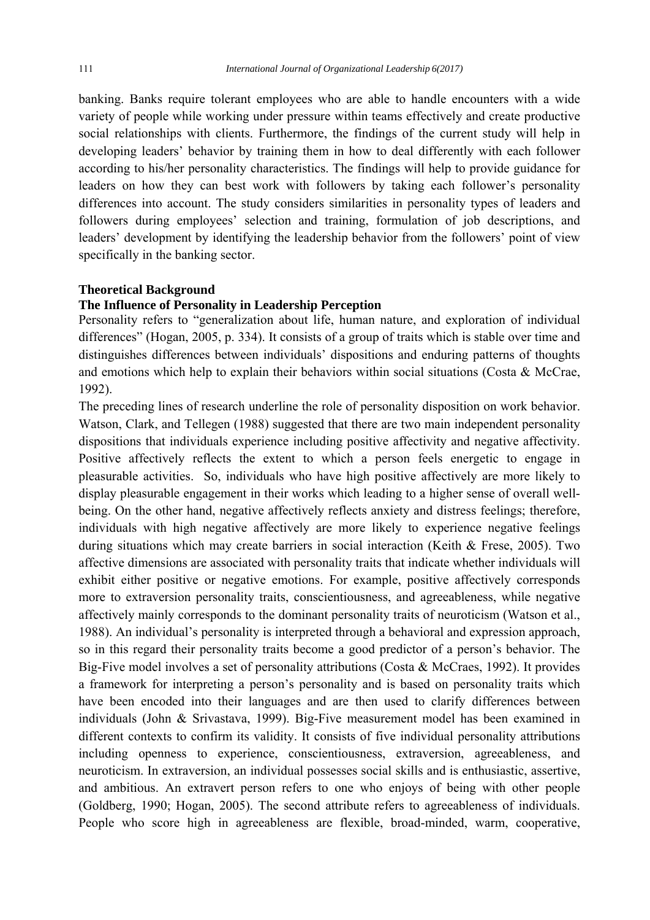banking. Banks require tolerant employees who are able to handle encounters with a wide variety of people while working under pressure within teams effectively and create productive social relationships with clients. Furthermore, the findings of the current study will help in developing leaders' behavior by training them in how to deal differently with each follower according to his/her personality characteristics. The findings will help to provide guidance for leaders on how they can best work with followers by taking each follower's personality differences into account. The study considers similarities in personality types of leaders and followers during employees' selection and training, formulation of job descriptions, and leaders' development by identifying the leadership behavior from the followers' point of view specifically in the banking sector.

#### **Theoretical Background**

# **The Influence of Personality in Leadership Perception**

Personality refers to "generalization about life, human nature, and exploration of individual differences" (Hogan, 2005, p. 334). It consists of a group of traits which is stable over time and distinguishes differences between individuals' dispositions and enduring patterns of thoughts and emotions which help to explain their behaviors within social situations (Costa & McCrae, 1992).

The preceding lines of research underline the role of personality disposition on work behavior. Watson, Clark, and Tellegen (1988) suggested that there are two main independent personality dispositions that individuals experience including positive affectivity and negative affectivity. Positive affectively reflects the extent to which a person feels energetic to engage in pleasurable activities. So, individuals who have high positive affectively are more likely to display pleasurable engagement in their works which leading to a higher sense of overall wellbeing. On the other hand, negative affectively reflects anxiety and distress feelings; therefore, individuals with high negative affectively are more likely to experience negative feelings during situations which may create barriers in social interaction (Keith & Frese, 2005). Two affective dimensions are associated with personality traits that indicate whether individuals will exhibit either positive or negative emotions. For example, positive affectively corresponds more to extraversion personality traits, conscientiousness, and agreeableness, while negative affectively mainly corresponds to the dominant personality traits of neuroticism (Watson et al., 1988). An individual's personality is interpreted through a behavioral and expression approach, so in this regard their personality traits become a good predictor of a person's behavior. The Big-Five model involves a set of personality attributions (Costa & McCraes, 1992). It provides a framework for interpreting a person's personality and is based on personality traits which have been encoded into their languages and are then used to clarify differences between individuals (John & Srivastava, 1999). Big-Five measurement model has been examined in different contexts to confirm its validity. It consists of five individual personality attributions including openness to experience, conscientiousness, extraversion, agreeableness, and neuroticism. In extraversion, an individual possesses social skills and is enthusiastic, assertive, and ambitious. An extravert person refers to one who enjoys of being with other people (Goldberg, 1990; Hogan, 2005). The second attribute refers to agreeableness of individuals. People who score high in agreeableness are flexible, broad-minded, warm, cooperative,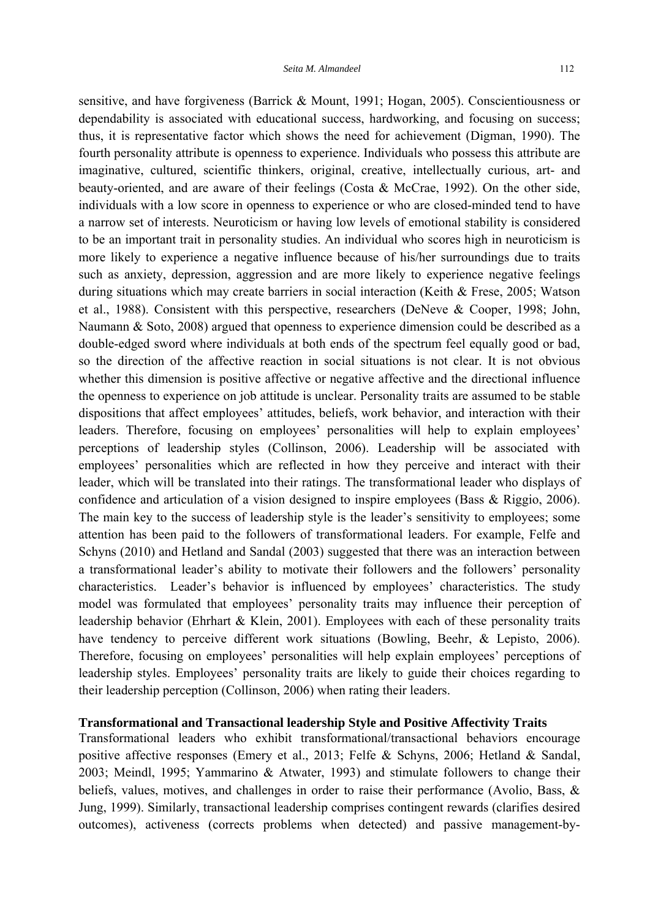sensitive, and have forgiveness (Barrick & Mount, 1991; Hogan, 2005). Conscientiousness or dependability is associated with educational success, hardworking, and focusing on success; thus, it is representative factor which shows the need for achievement (Digman, 1990). The fourth personality attribute is openness to experience. Individuals who possess this attribute are imaginative, cultured, scientific thinkers, original, creative, intellectually curious, art- and beauty-oriented, and are aware of their feelings (Costa & McCrae, 1992). On the other side, individuals with a low score in openness to experience or who are closed-minded tend to have a narrow set of interests. Neuroticism or having low levels of emotional stability is considered to be an important trait in personality studies. An individual who scores high in neuroticism is more likely to experience a negative influence because of his/her surroundings due to traits such as anxiety, depression, aggression and are more likely to experience negative feelings during situations which may create barriers in social interaction (Keith & Frese, 2005; Watson et al., 1988). Consistent with this perspective, researchers (DeNeve & Cooper, 1998; John, Naumann & Soto, 2008) argued that openness to experience dimension could be described as a double-edged sword where individuals at both ends of the spectrum feel equally good or bad, so the direction of the affective reaction in social situations is not clear. It is not obvious whether this dimension is positive affective or negative affective and the directional influence the openness to experience on job attitude is unclear. Personality traits are assumed to be stable dispositions that affect employees' attitudes, beliefs, work behavior, and interaction with their leaders. Therefore, focusing on employees' personalities will help to explain employees' perceptions of leadership styles (Collinson, 2006). Leadership will be associated with employees' personalities which are reflected in how they perceive and interact with their leader, which will be translated into their ratings. The transformational leader who displays of confidence and articulation of a vision designed to inspire employees (Bass & Riggio, 2006). The main key to the success of leadership style is the leader's sensitivity to employees; some attention has been paid to the followers of transformational leaders. For example, Felfe and Schyns (2010) and Hetland and Sandal (2003) suggested that there was an interaction between a transformational leader's ability to motivate their followers and the followers' personality characteristics. Leader's behavior is influenced by employees' characteristics. The study model was formulated that employees' personality traits may influence their perception of leadership behavior (Ehrhart & Klein, 2001). Employees with each of these personality traits have tendency to perceive different work situations (Bowling, Beehr, & Lepisto, 2006). Therefore, focusing on employees' personalities will help explain employees' perceptions of leadership styles. Employees' personality traits are likely to guide their choices regarding to their leadership perception (Collinson, 2006) when rating their leaders.

## **Transformational and Transactional leadership Style and Positive Affectivity Traits**

Transformational leaders who exhibit transformational/transactional behaviors encourage positive affective responses (Emery et al., 2013; Felfe & Schyns, 2006; Hetland & Sandal, 2003; Meindl, 1995; Yammarino & Atwater, 1993) and stimulate followers to change their beliefs, values, motives, and challenges in order to raise their performance (Avolio, Bass, & Jung, 1999). Similarly, transactional leadership comprises contingent rewards (clarifies desired outcomes), activeness (corrects problems when detected) and passive management-by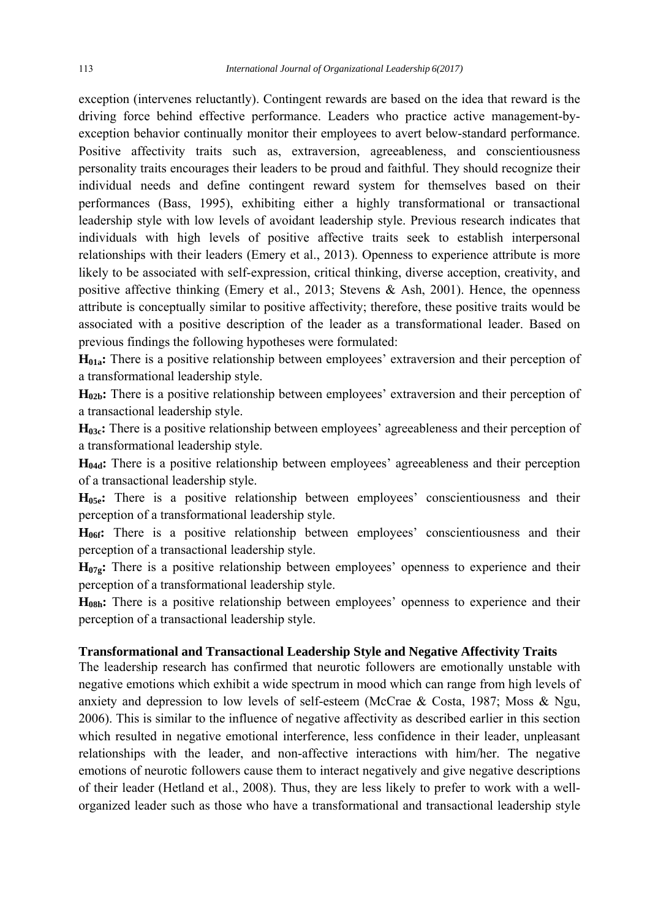exception (intervenes reluctantly). Contingent rewards are based on the idea that reward is the driving force behind effective performance. Leaders who practice active management-byexception behavior continually monitor their employees to avert below-standard performance. Positive affectivity traits such as, extraversion, agreeableness, and conscientiousness personality traits encourages their leaders to be proud and faithful. They should recognize their individual needs and define contingent reward system for themselves based on their performances (Bass, 1995), exhibiting either a highly transformational or transactional leadership style with low levels of avoidant leadership style. Previous research indicates that individuals with high levels of positive affective traits seek to establish interpersonal relationships with their leaders (Emery et al., 2013). Openness to experience attribute is more likely to be associated with self-expression, critical thinking, diverse acception, creativity, and positive affective thinking (Emery et al., 2013; Stevens & Ash, 2001). Hence, the openness attribute is conceptually similar to positive affectivity; therefore, these positive traits would be associated with a positive description of the leader as a transformational leader. Based on previous findings the following hypotheses were formulated:

**H01a:** There is a positive relationship between employees' extraversion and their perception of a transformational leadership style.

H<sub>02b</sub>: There is a positive relationship between employees' extraversion and their perception of a transactional leadership style.

H<sub>03c</sub>: There is a positive relationship between employees' agreeableness and their perception of a transformational leadership style.

**H04d:** There is a positive relationship between employees' agreeableness and their perception of a transactional leadership style.

**H05e:** There is a positive relationship between employees' conscientiousness and their perception of a transformational leadership style.

**H**<sub>06f</sub>: There is a positive relationship between employees' conscientiousness and their perception of a transactional leadership style.

H<sub>07g</sub>: There is a positive relationship between employees' openness to experience and their perception of a transformational leadership style.

**H08h:** There is a positive relationship between employees' openness to experience and their perception of a transactional leadership style.

# **Transformational and Transactional Leadership Style and Negative Affectivity Traits**

The leadership research has confirmed that neurotic followers are emotionally unstable with negative emotions which exhibit a wide spectrum in mood which can range from high levels of anxiety and depression to low levels of self-esteem (McCrae & Costa, 1987; Moss & Ngu, 2006). This is similar to the influence of negative affectivity as described earlier in this section which resulted in negative emotional interference, less confidence in their leader, unpleasant relationships with the leader, and non-affective interactions with him/her. The negative emotions of neurotic followers cause them to interact negatively and give negative descriptions of their leader (Hetland et al., 2008). Thus, they are less likely to prefer to work with a wellorganized leader such as those who have a transformational and transactional leadership style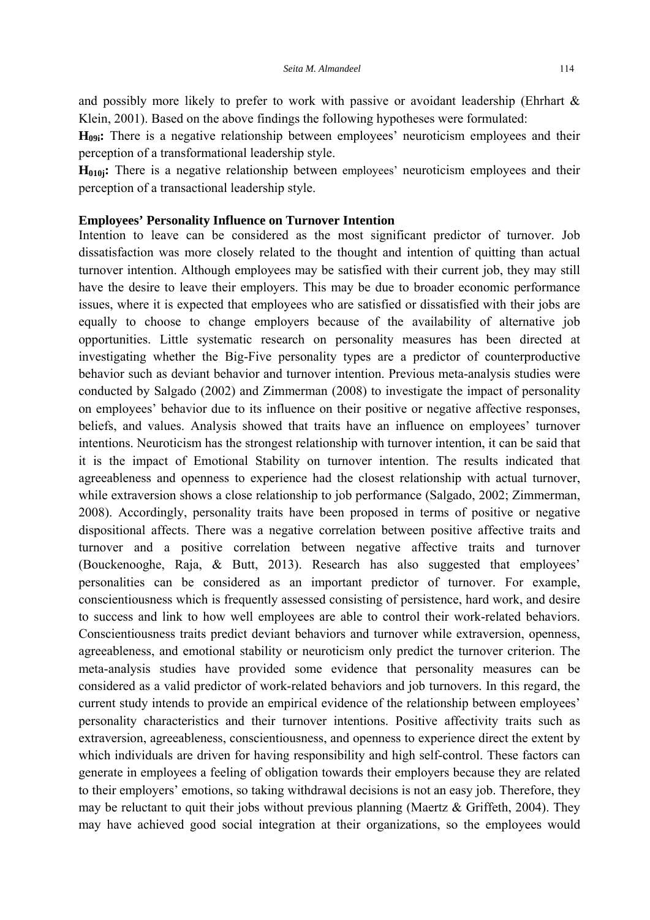and possibly more likely to prefer to work with passive or avoidant leadership (Ehrhart & Klein, 2001). Based on the above findings the following hypotheses were formulated:

**H<sub>09</sub>**: There is a negative relationship between employees' neuroticism employees and their perception of a transformational leadership style.

**H<sub>010</sub>**; There is a negative relationship between employees' neuroticism employees and their perception of a transactional leadership style.

#### **Employees' Personality Influence on Turnover Intention**

Intention to leave can be considered as the most significant predictor of turnover. Job dissatisfaction was more closely related to the thought and intention of quitting than actual turnover intention. Although employees may be satisfied with their current job, they may still have the desire to leave their employers. This may be due to broader economic performance issues, where it is expected that employees who are satisfied or dissatisfied with their jobs are equally to choose to change employers because of the availability of alternative job opportunities. Little systematic research on personality measures has been directed at investigating whether the Big-Five personality types are a predictor of counterproductive behavior such as deviant behavior and turnover intention. Previous meta-analysis studies were conducted by Salgado (2002) and Zimmerman (2008) to investigate the impact of personality on employees' behavior due to its influence on their positive or negative affective responses, beliefs, and values. Analysis showed that traits have an influence on employees' turnover intentions. Neuroticism has the strongest relationship with turnover intention, it can be said that it is the impact of Emotional Stability on turnover intention. The results indicated that agreeableness and openness to experience had the closest relationship with actual turnover, while extraversion shows a close relationship to job performance (Salgado, 2002; Zimmerman, 2008). Accordingly, personality traits have been proposed in terms of positive or negative dispositional affects. There was a negative correlation between positive affective traits and turnover and a positive correlation between negative affective traits and turnover (Bouckenooghe, Raja, & Butt, 2013). Research has also suggested that employees' personalities can be considered as an important predictor of turnover. For example, conscientiousness which is frequently assessed consisting of persistence, hard work, and desire to success and link to how well employees are able to control their work-related behaviors. Conscientiousness traits predict deviant behaviors and turnover while extraversion, openness, agreeableness, and emotional stability or neuroticism only predict the turnover criterion. The meta-analysis studies have provided some evidence that personality measures can be considered as a valid predictor of work-related behaviors and job turnovers. In this regard, the current study intends to provide an empirical evidence of the relationship between employees' personality characteristics and their turnover intentions. Positive affectivity traits such as extraversion, agreeableness, conscientiousness, and openness to experience direct the extent by which individuals are driven for having responsibility and high self-control. These factors can generate in employees a feeling of obligation towards their employers because they are related to their employers' emotions, so taking withdrawal decisions is not an easy job. Therefore, they may be reluctant to quit their jobs without previous planning (Maertz  $\&$  Griffeth, 2004). They may have achieved good social integration at their organizations, so the employees would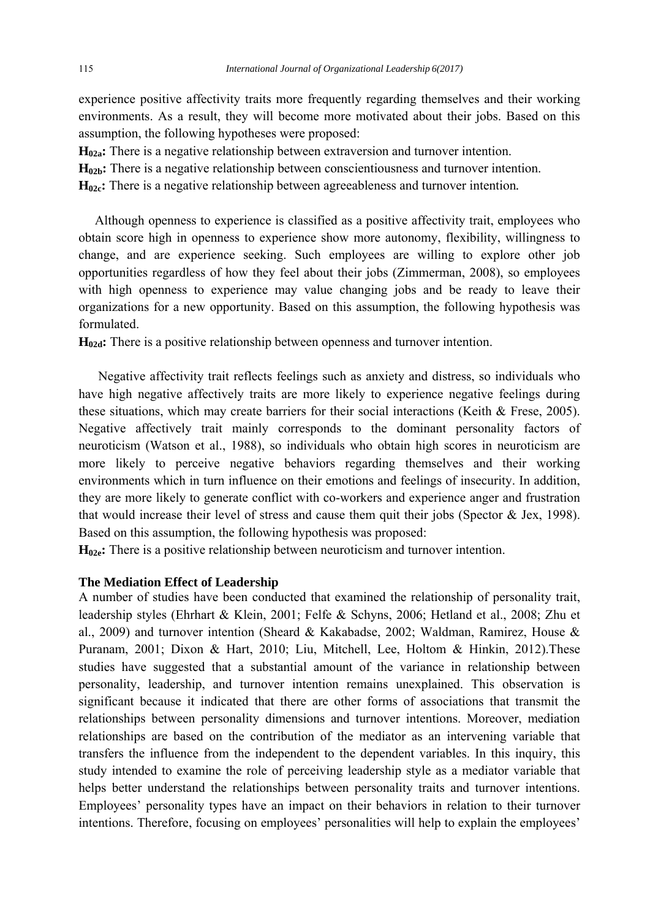experience positive affectivity traits more frequently regarding themselves and their working environments. As a result, they will become more motivated about their jobs. Based on this assumption, the following hypotheses were proposed:

**H02a:** There is a negative relationship between extraversion and turnover intention.

**H02b:** There is a negative relationship between conscientiousness and turnover intention.

**H02c:** There is a negative relationship between agreeableness and turnover intention*.* 

 Although openness to experience is classified as a positive affectivity trait, employees who obtain score high in openness to experience show more autonomy, flexibility, willingness to change, and are experience seeking. Such employees are willing to explore other job opportunities regardless of how they feel about their jobs (Zimmerman, 2008), so employees with high openness to experience may value changing jobs and be ready to leave their organizations for a new opportunity. Based on this assumption, the following hypothesis was formulated.

**H<sub>02d</sub>:** There is a positive relationship between openness and turnover intention.

 Negative affectivity trait reflects feelings such as anxiety and distress, so individuals who have high negative affectively traits are more likely to experience negative feelings during these situations, which may create barriers for their social interactions (Keith & Frese, 2005). Negative affectively trait mainly corresponds to the dominant personality factors of neuroticism (Watson et al., 1988), so individuals who obtain high scores in neuroticism are more likely to perceive negative behaviors regarding themselves and their working environments which in turn influence on their emotions and feelings of insecurity. In addition, they are more likely to generate conflict with co-workers and experience anger and frustration that would increase their level of stress and cause them quit their jobs (Spector  $\&$  Jex, 1998). Based on this assumption, the following hypothesis was proposed:

**H02e:** There is a positive relationship between neuroticism and turnover intention.

# **The Mediation Effect of Leadership**

A number of studies have been conducted that examined the relationship of personality trait, leadership styles (Ehrhart & Klein, 2001; Felfe & Schyns, 2006; Hetland et al., 2008; Zhu et al., 2009) and turnover intention (Sheard & Kakabadse, 2002; Waldman, Ramirez, House & Puranam, 2001; Dixon & Hart, 2010; Liu, Mitchell, Lee, Holtom & Hinkin, 2012).These studies have suggested that a substantial amount of the variance in relationship between personality, leadership, and turnover intention remains unexplained. This observation is significant because it indicated that there are other forms of associations that transmit the relationships between personality dimensions and turnover intentions. Moreover, mediation relationships are based on the contribution of the mediator as an intervening variable that transfers the influence from the independent to the dependent variables. In this inquiry, this study intended to examine the role of perceiving leadership style as a mediator variable that helps better understand the relationships between personality traits and turnover intentions. Employees' personality types have an impact on their behaviors in relation to their turnover intentions. Therefore, focusing on employees' personalities will help to explain the employees'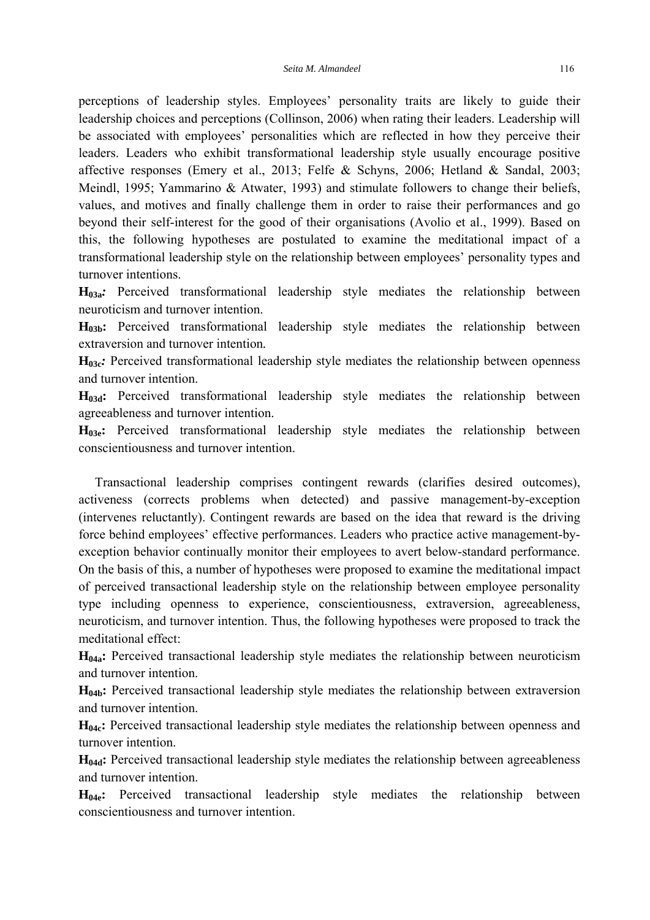perceptions of leadership styles. Employees' personality traits are likely to guide their leadership choices and perceptions (Collinson, 2006) when rating their leaders. Leadership will be associated with employees' personalities which are reflected in how they perceive their leaders. Leaders who exhibit transformational leadership style usually encourage positive affective responses (Emery et al., 2013; Felfe & Schyns, 2006; Hetland & Sandal, 2003; Meindl, 1995; Yammarino & Atwater, 1993) and stimulate followers to change their beliefs, values, and motives and finally challenge them in order to raise their performances and go beyond their self-interest for the good of their organisations (Avolio et al., 1999). Based on this, the following hypotheses are postulated to examine the meditational impact of a transformational leadership style on the relationship between employees' personality types and turnover intentions.

**H03a***:* Perceived transformational leadership style mediates the relationship between neuroticism and turnover intention.

**H03b:** Perceived transformational leadership style mediates the relationship between extraversion and turnover intention*.* 

H<sub>03c</sub><sup>:</sup> Perceived transformational leadership style mediates the relationship between openness and turnover intention.

**H03d:** Perceived transformational leadership style mediates the relationship between agreeableness and turnover intention.

**H03e:** Perceived transformational leadership style mediates the relationship between conscientiousness and turnover intention.

 Transactional leadership comprises contingent rewards (clarifies desired outcomes), activeness (corrects problems when detected) and passive management-by-exception (intervenes reluctantly). Contingent rewards are based on the idea that reward is the driving force behind employees' effective performances. Leaders who practice active management-byexception behavior continually monitor their employees to avert below-standard performance. On the basis of this, a number of hypotheses were proposed to examine the meditational impact of perceived transactional leadership style on the relationship between employee personality type including openness to experience, conscientiousness, extraversion, agreeableness, neuroticism, and turnover intention. Thus, the following hypotheses were proposed to track the meditational effect:

**H04a:** Perceived transactional leadership style mediates the relationship between neuroticism and turnover intention.

**H04b:** Perceived transactional leadership style mediates the relationship between extraversion and turnover intention.

**H04c:** Perceived transactional leadership style mediates the relationship between openness and turnover intention.

**H04d:** Perceived transactional leadership style mediates the relationship between agreeableness and turnover intention.

**H04e:** Perceived transactional leadership style mediates the relationship between conscientiousness and turnover intention.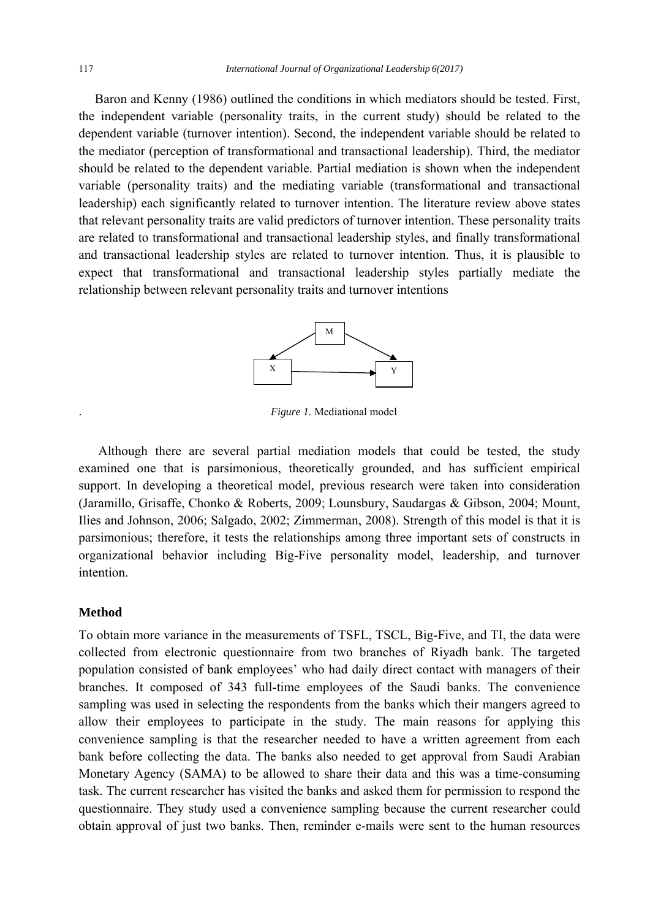Baron and Kenny (1986) outlined the conditions in which mediators should be tested. First, the independent variable (personality traits, in the current study) should be related to the dependent variable (turnover intention). Second, the independent variable should be related to the mediator (perception of transformational and transactional leadership). Third, the mediator should be related to the dependent variable. Partial mediation is shown when the independent variable (personality traits) and the mediating variable (transformational and transactional leadership) each significantly related to turnover intention. The literature review above states that relevant personality traits are valid predictors of turnover intention. These personality traits are related to transformational and transactional leadership styles, and finally transformational and transactional leadership styles are related to turnover intention. Thus, it is plausible to expect that transformational and transactional leadership styles partially mediate the relationship between relevant personality traits and turnover intentions



. *Figure 1.* Mediational model

 Although there are several partial mediation models that could be tested, the study examined one that is parsimonious, theoretically grounded, and has sufficient empirical support. In developing a theoretical model, previous research were taken into consideration (Jaramillo, Grisaffe, Chonko & Roberts, 2009; Lounsbury, Saudargas & Gibson, 2004; Mount, Ilies and Johnson, 2006; Salgado, 2002; Zimmerman, 2008). Strength of this model is that it is parsimonious; therefore, it tests the relationships among three important sets of constructs in organizational behavior including Big-Five personality model, leadership, and turnover intention.

#### **Method**

To obtain more variance in the measurements of TSFL, TSCL, Big-Five, and TI, the data were collected from electronic questionnaire from two branches of Riyadh bank. The targeted population consisted of bank employees' who had daily direct contact with managers of their branches. It composed of 343 full-time employees of the Saudi banks. The convenience sampling was used in selecting the respondents from the banks which their mangers agreed to allow their employees to participate in the study. The main reasons for applying this convenience sampling is that the researcher needed to have a written agreement from each bank before collecting the data. The banks also needed to get approval from Saudi Arabian Monetary Agency (SAMA) to be allowed to share their data and this was a time-consuming task. The current researcher has visited the banks and asked them for permission to respond the questionnaire. They study used a convenience sampling because the current researcher could obtain approval of just two banks. Then, reminder e-mails were sent to the human resources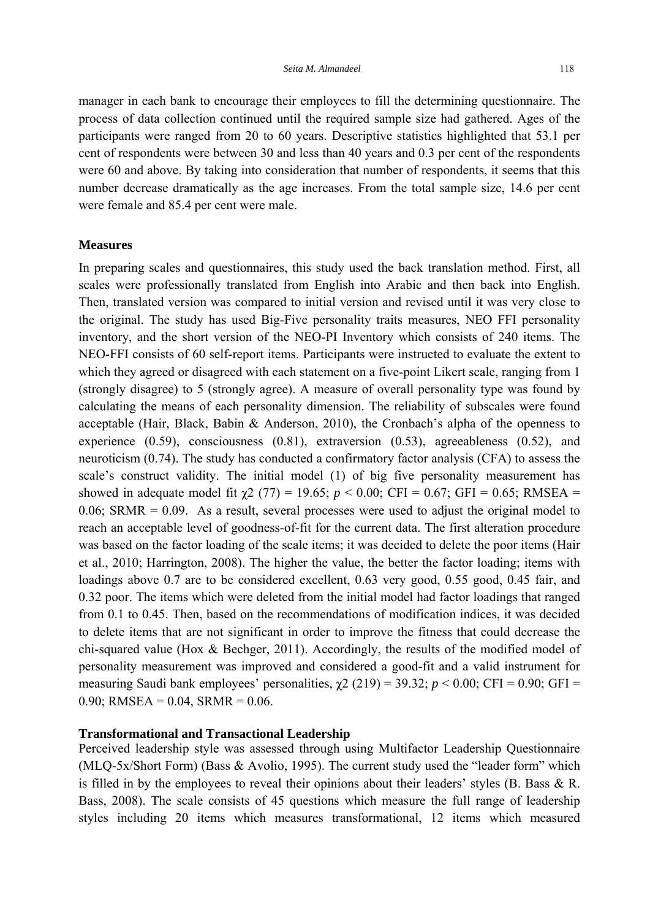manager in each bank to encourage their employees to fill the determining questionnaire. The process of data collection continued until the required sample size had gathered. Ages of the participants were ranged from 20 to 60 years. Descriptive statistics highlighted that 53.1 per cent of respondents were between 30 and less than 40 years and 0.3 per cent of the respondents were 60 and above. By taking into consideration that number of respondents, it seems that this number decrease dramatically as the age increases. From the total sample size, 14.6 per cent were female and 85.4 per cent were male.

#### **Measures**

In preparing scales and questionnaires, this study used the back translation method. First, all scales were professionally translated from English into Arabic and then back into English. Then, translated version was compared to initial version and revised until it was very close to the original. The study has used Big-Five personality traits measures, NEO FFI personality inventory, and the short version of the NEO-PI Inventory which consists of 240 items. The NEO-FFI consists of 60 self-report items. Participants were instructed to evaluate the extent to which they agreed or disagreed with each statement on a five-point Likert scale, ranging from 1 (strongly disagree) to 5 (strongly agree). A measure of overall personality type was found by calculating the means of each personality dimension. The reliability of subscales were found acceptable (Hair, Black, Babin & Anderson, 2010), the Cronbach's alpha of the openness to experience (0.59), consciousness (0.81), extraversion (0.53), agreeableness (0.52), and neuroticism (0.74). The study has conducted a confirmatory factor analysis (CFA) to assess the scale's construct validity. The initial model (1) of big five personality measurement has showed in adequate model fit  $\chi$ 2 (77) = 19.65;  $p < 0.00$ ; CFI = 0.67; GFI = 0.65; RMSEA = 0.06; SRMR = 0.09. As a result, several processes were used to adjust the original model to reach an acceptable level of goodness-of-fit for the current data. The first alteration procedure was based on the factor loading of the scale items; it was decided to delete the poor items (Hair et al., 2010; Harrington, 2008). The higher the value, the better the factor loading; items with loadings above 0.7 are to be considered excellent, 0.63 very good, 0.55 good, 0.45 fair, and 0.32 poor. The items which were deleted from the initial model had factor loadings that ranged from 0.1 to 0.45. Then, based on the recommendations of modification indices, it was decided to delete items that are not significant in order to improve the fitness that could decrease the chi-squared value (Hox & Bechger, 2011). Accordingly, the results of the modified model of personality measurement was improved and considered a good-fit and a valid instrument for measuring Saudi bank employees' personalities,  $\chi$ 2 (219) = 39.32; *p* < 0.00; CFI = 0.90; GFI = 0.90; RMSEA =  $0.04$ , SRMR =  $0.06$ .

## **Transformational and Transactional Leadership**

Perceived leadership style was assessed through using Multifactor Leadership Questionnaire (MLQ-5x/Short Form) (Bass & Avolio, 1995). The current study used the "leader form" which is filled in by the employees to reveal their opinions about their leaders' styles (B. Bass & R. Bass, 2008). The scale consists of 45 questions which measure the full range of leadership styles including 20 items which measures transformational, 12 items which measured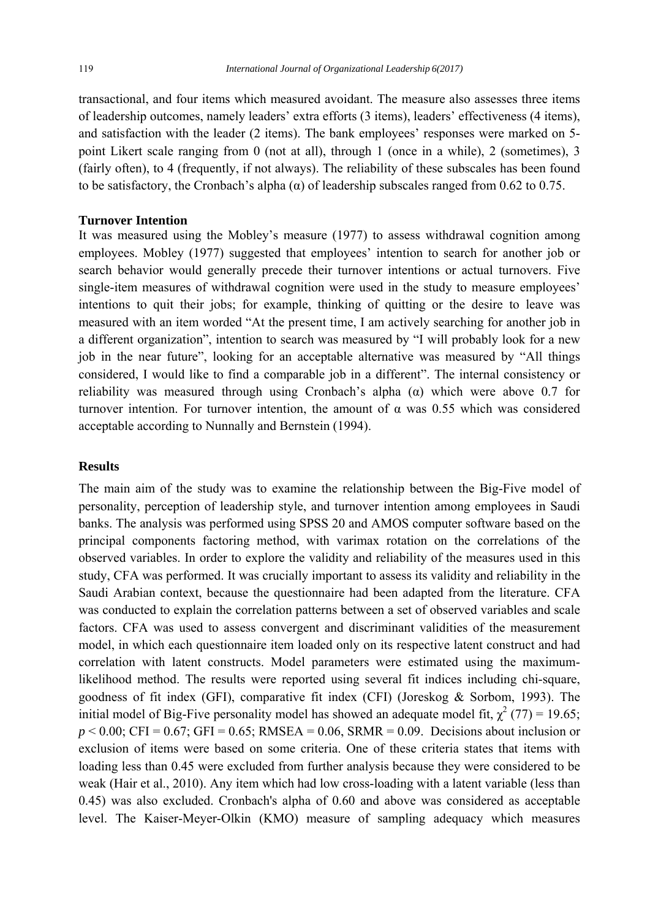transactional, and four items which measured avoidant. The measure also assesses three items of leadership outcomes, namely leaders' extra efforts (3 items), leaders' effectiveness (4 items), and satisfaction with the leader (2 items). The bank employees' responses were marked on 5 point Likert scale ranging from 0 (not at all), through 1 (once in a while), 2 (sometimes), 3 (fairly often), to 4 (frequently, if not always). The reliability of these subscales has been found to be satisfactory, the Cronbach's alpha (α) of leadership subscales ranged from 0.62 to 0.75.

## **Turnover Intention**

It was measured using the Mobley's measure (1977) to assess withdrawal cognition among employees. Mobley (1977) suggested that employees' intention to search for another job or search behavior would generally precede their turnover intentions or actual turnovers. Five single-item measures of withdrawal cognition were used in the study to measure employees' intentions to quit their jobs; for example, thinking of quitting or the desire to leave was measured with an item worded "At the present time, I am actively searching for another job in a different organization", intention to search was measured by "I will probably look for a new job in the near future", looking for an acceptable alternative was measured by "All things considered, I would like to find a comparable job in a different". The internal consistency or reliability was measured through using Cronbach's alpha (α) which were above 0.7 for turnover intention. For turnover intention, the amount of α was 0.55 which was considered acceptable according to Nunnally and Bernstein (1994).

## **Results**

The main aim of the study was to examine the relationship between the Big-Five model of personality, perception of leadership style, and turnover intention among employees in Saudi banks. The analysis was performed using SPSS 20 and AMOS computer software based on the principal components factoring method, with varimax rotation on the correlations of the observed variables. In order to explore the validity and reliability of the measures used in this study, CFA was performed. It was crucially important to assess its validity and reliability in the Saudi Arabian context, because the questionnaire had been adapted from the literature. CFA was conducted to explain the correlation patterns between a set of observed variables and scale factors. CFA was used to assess convergent and discriminant validities of the measurement model, in which each questionnaire item loaded only on its respective latent construct and had correlation with latent constructs. Model parameters were estimated using the maximumlikelihood method. The results were reported using several fit indices including chi-square, goodness of fit index (GFI), comparative fit index (CFI) (Joreskog & Sorbom, 1993). The initial model of Big-Five personality model has showed an adequate model fit,  $\chi^2$  (77) = 19.65;  $p < 0.00$ ; CFI = 0.67; GFI = 0.65; RMSEA = 0.06, SRMR = 0.09. Decisions about inclusion or exclusion of items were based on some criteria. One of these criteria states that items with loading less than 0.45 were excluded from further analysis because they were considered to be weak (Hair et al., 2010). Any item which had low cross-loading with a latent variable (less than 0.45) was also excluded. Cronbach's alpha of 0.60 and above was considered as acceptable level. The Kaiser-Meyer-Olkin (KMO) measure of sampling adequacy which measures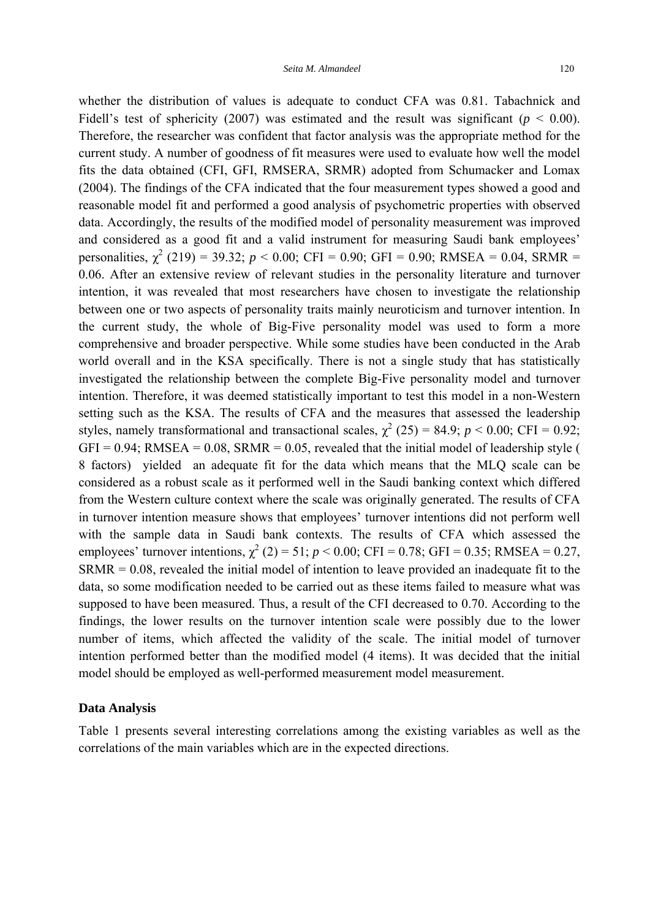whether the distribution of values is adequate to conduct CFA was 0.81. Tabachnick and Fidell's test of sphericity (2007) was estimated and the result was significant ( $p < 0.00$ ). Therefore, the researcher was confident that factor analysis was the appropriate method for the current study. A number of goodness of fit measures were used to evaluate how well the model fits the data obtained (CFI, GFI, RMSERA, SRMR) adopted from Schumacker and Lomax (2004). The findings of the CFA indicated that the four measurement types showed a good and reasonable model fit and performed a good analysis of psychometric properties with observed data. Accordingly, the results of the modified model of personality measurement was improved and considered as a good fit and a valid instrument for measuring Saudi bank employees' personalities,  $\chi^2$  (219) = 39.32; *p* < 0.00; CFI = 0.90; GFI = 0.90; RMSEA = 0.04, SRMR = 0.06. After an extensive review of relevant studies in the personality literature and turnover intention, it was revealed that most researchers have chosen to investigate the relationship between one or two aspects of personality traits mainly neuroticism and turnover intention. In the current study, the whole of Big-Five personality model was used to form a more comprehensive and broader perspective. While some studies have been conducted in the Arab world overall and in the KSA specifically. There is not a single study that has statistically investigated the relationship between the complete Big-Five personality model and turnover intention. Therefore, it was deemed statistically important to test this model in a non-Western setting such as the KSA. The results of CFA and the measures that assessed the leadership styles, namely transformational and transactional scales,  $\chi^2$  (25) = 84.9; *p* < 0.00; CFI = 0.92;  $GFI = 0.94$ ; RMSEA = 0.08, SRMR = 0.05, revealed that the initial model of leadership style ( 8 factors) yielded an adequate fit for the data which means that the MLQ scale can be considered as a robust scale as it performed well in the Saudi banking context which differed from the Western culture context where the scale was originally generated. The results of CFA in turnover intention measure shows that employees' turnover intentions did not perform well with the sample data in Saudi bank contexts. The results of CFA which assessed the employees' turnover intentions,  $\chi^2$  (2) = 51; *p* < 0.00; CFI = 0.78; GFI = 0.35; RMSEA = 0.27, SRMR = 0.08, revealed the initial model of intention to leave provided an inadequate fit to the data, so some modification needed to be carried out as these items failed to measure what was supposed to have been measured. Thus, a result of the CFI decreased to 0.70. According to the findings, the lower results on the turnover intention scale were possibly due to the lower number of items, which affected the validity of the scale. The initial model of turnover intention performed better than the modified model (4 items). It was decided that the initial model should be employed as well-performed measurement model measurement.

#### **Data Analysis**

Table 1 presents several interesting correlations among the existing variables as well as the correlations of the main variables which are in the expected directions.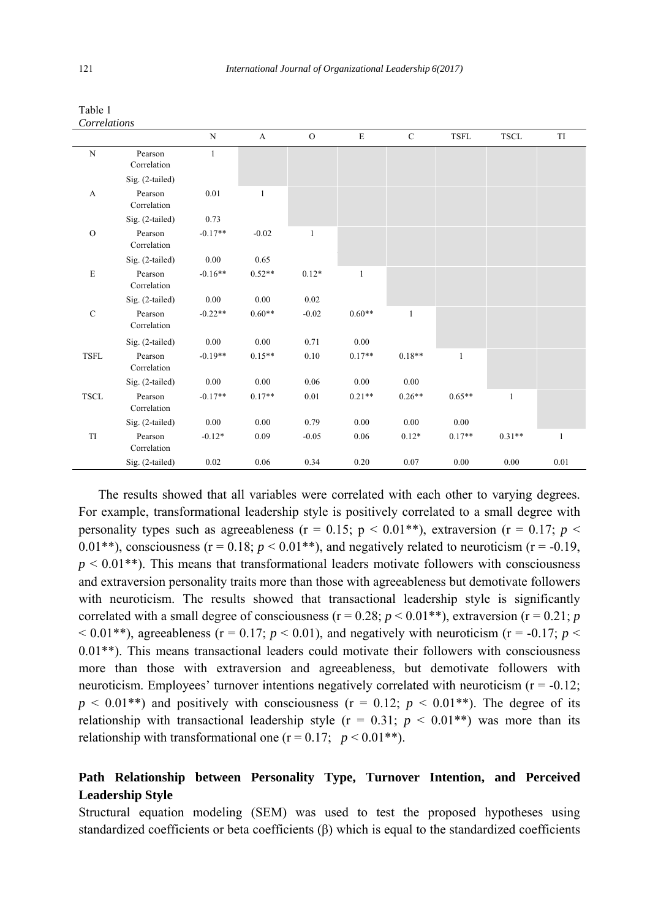|                           |                        | ${\bf N}$    | A        | ${\rm O}$    | $\mathbf E$  | ${\bf C}$    | $\operatorname{T}\!\operatorname{SFL}$ | <b>TSCL</b> | $\rm TI$     |
|---------------------------|------------------------|--------------|----------|--------------|--------------|--------------|----------------------------------------|-------------|--------------|
| $\mathbf N$               | Pearson<br>Correlation | $\mathbf{1}$ |          |              |              |              |                                        |             |              |
|                           | Sig. (2-tailed)        |              |          |              |              |              |                                        |             |              |
| A                         | Pearson<br>Correlation | 0.01         | 1        |              |              |              |                                        |             |              |
|                           | Sig. (2-tailed)        | 0.73         |          |              |              |              |                                        |             |              |
| $\mathcal{O}$             | Pearson<br>Correlation | $-0.17**$    | $-0.02$  | $\mathbf{1}$ |              |              |                                        |             |              |
|                           | Sig. (2-tailed)        | 0.00         | 0.65     |              |              |              |                                        |             |              |
| $\mathbf E$               | Pearson<br>Correlation | $-0.16**$    | $0.52**$ | $0.12*$      | $\mathbf{1}$ |              |                                        |             |              |
|                           | Sig. (2-tailed)        | 0.00         | $0.00\,$ | 0.02         |              |              |                                        |             |              |
| $\mathbf C$               | Pearson<br>Correlation | $-0.22**$    | $0.60**$ | $-0.02$      | $0.60**$     | $\mathbf{1}$ |                                        |             |              |
|                           | Sig. (2-tailed)        | 0.00         | 0.00     | 0.71         | 0.00         |              |                                        |             |              |
| $\operatorname{\sf TSFL}$ | Pearson<br>Correlation | $-0.19**$    | $0.15**$ | 0.10         | $0.17**$     | $0.18**$     | 1                                      |             |              |
|                           | Sig. (2-tailed)        | $0.00\,$     | 0.00     | 0.06         | 0.00         | 0.00         |                                        |             |              |
| $\operatorname{TSCL}$     | Pearson<br>Correlation | $-0.17**$    | $0.17**$ | 0.01         | $0.21**$     | $0.26**$     | $0.65**$                               | 1           |              |
|                           | $Sig. (2-tailed)$      | 0.00         | 0.00     | 0.79         | 0.00         | $0.00\,$     | 0.00                                   |             |              |
| TI                        | Pearson<br>Correlation | $-0.12*$     | 0.09     | $-0.05$      | 0.06         | $0.12*$      | $0.17**$                               | $0.31**$    | $\mathbf{1}$ |
|                           | $Sig. (2-tailed)$      | $0.02\,$     | 0.06     | 0.34         | 0.20         | 0.07         | 0.00                                   | $0.00\,$    | 0.01         |

| Table 1      |
|--------------|
| Correlations |

 The results showed that all variables were correlated with each other to varying degrees. For example, transformational leadership style is positively correlated to a small degree with personality types such as agreeableness ( $r = 0.15$ ;  $p < 0.01$ <sup>\*\*</sup>), extraversion ( $r = 0.17$ ;  $p <$ 0.01<sup>\*\*</sup>), consciousness ( $r = 0.18$ ;  $p < 0.01$ <sup>\*\*</sup>), and negatively related to neuroticism ( $r = -0.19$ ,  $p < 0.01$ <sup>\*\*</sup>). This means that transformational leaders motivate followers with consciousness and extraversion personality traits more than those with agreeableness but demotivate followers with neuroticism. The results showed that transactional leadership style is significantly correlated with a small degree of consciousness ( $r = 0.28$ ;  $p < 0.01$ <sup>\*\*</sup>), extraversion ( $r = 0.21$ ; *p*  $(1.01)$ <sup>\*\*</sup>), agreeableness (r = 0.17; *p* < 0.01), and negatively with neuroticism (r = -0.17; *p* < 0.01\*\*). This means transactional leaders could motivate their followers with consciousness more than those with extraversion and agreeableness, but demotivate followers with neuroticism. Employees' turnover intentions negatively correlated with neuroticism  $(r = -0.12)$ ;  $p \leq 0.01^{**}$ ) and positively with consciousness ( $r = 0.12$ ;  $p \leq 0.01^{**}$ ). The degree of its relationship with transactional leadership style ( $r = 0.31$ ;  $p < 0.01$ <sup>\*\*</sup>) was more than its relationship with transformational one  $(r = 0.17; p < 0.01**)$ .

# **Path Relationship between Personality Type, Turnover Intention, and Perceived Leadership Style**

Structural equation modeling (SEM) was used to test the proposed hypotheses using standardized coefficients or beta coefficients (β) which is equal to the standardized coefficients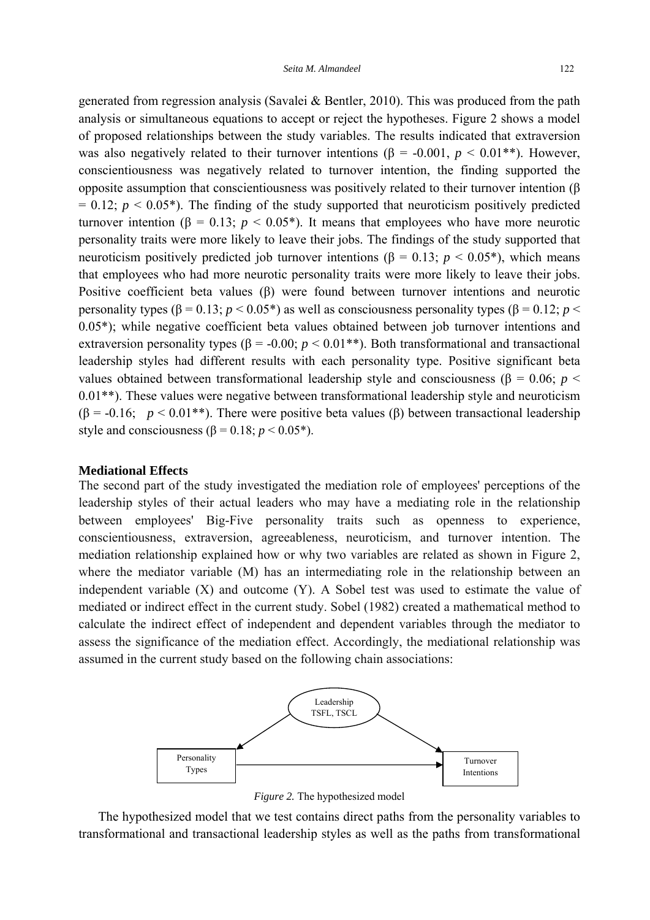generated from regression analysis (Savalei & Bentler, 2010). This was produced from the path analysis or simultaneous equations to accept or reject the hypotheses. Figure 2 shows a model of proposed relationships between the study variables. The results indicated that extraversion was also negatively related to their turnover intentions ( $\beta$  = -0.001, *p* < 0.01<sup>\*\*</sup>). However, conscientiousness was negatively related to turnover intention, the finding supported the opposite assumption that conscientiousness was positively related to their turnover intention (β  $= 0.12$ ;  $p < 0.05^*$ ). The finding of the study supported that neuroticism positively predicted turnover intention ( $\beta = 0.13$ ;  $p < 0.05^*$ ). It means that employees who have more neurotic personality traits were more likely to leave their jobs. The findings of the study supported that neuroticism positively predicted job turnover intentions ( $\beta = 0.13$ ;  $p < 0.05^*$ ), which means that employees who had more neurotic personality traits were more likely to leave their jobs. Positive coefficient beta values  $(\beta)$  were found between turnover intentions and neurotic personality types (β = 0.13; *p* < 0.05<sup>\*</sup>) as well as consciousness personality types (β = 0.12; *p* < 0.05\*); while negative coefficient beta values obtained between job turnover intentions and extraversion personality types ( $\beta$  = -0.00; *p* < 0.01<sup>\*\*</sup>). Both transformational and transactional leadership styles had different results with each personality type. Positive significant beta values obtained between transformational leadership style and consciousness (β = 0.06; *p* < 0.01\*\*). These values were negative between transformational leadership style and neuroticism ( $\beta$  = -0.16; *p* < 0.01\*\*). There were positive beta values ( $\beta$ ) between transactional leadership style and consciousness ( $\beta$  = 0.18; *p* < 0.05<sup>\*</sup>).

#### **Mediational Effects**

The second part of the study investigated the mediation role of employees' perceptions of the leadership styles of their actual leaders who may have a mediating role in the relationship between employees' Big-Five personality traits such as openness to experience, conscientiousness, extraversion, agreeableness, neuroticism, and turnover intention. The mediation relationship explained how or why two variables are related as shown in Figure 2, where the mediator variable (M) has an intermediating role in the relationship between an independent variable (X) and outcome (Y). A Sobel test was used to estimate the value of mediated or indirect effect in the current study. Sobel (1982) created a mathematical method to calculate the indirect effect of independent and dependent variables through the mediator to assess the significance of the mediation effect. Accordingly, the mediational relationship was assumed in the current study based on the following chain associations:



*Figure 2.* The hypothesized model

 The hypothesized model that we test contains direct paths from the personality variables to transformational and transactional leadership styles as well as the paths from transformational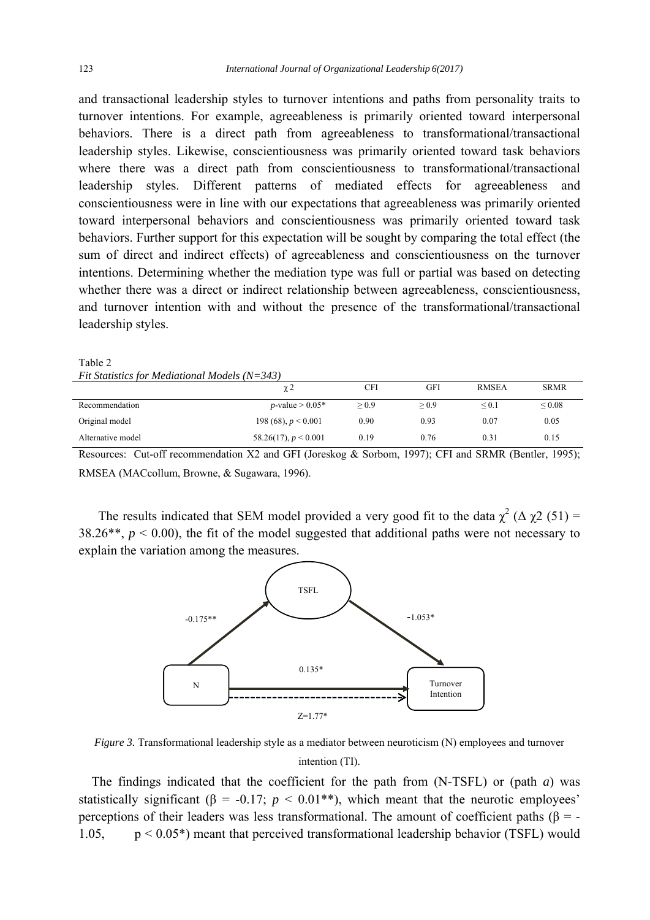and transactional leadership styles to turnover intentions and paths from personality traits to turnover intentions. For example, agreeableness is primarily oriented toward interpersonal behaviors. There is a direct path from agreeableness to transformational/transactional leadership styles. Likewise, conscientiousness was primarily oriented toward task behaviors where there was a direct path from conscientiousness to transformational/transactional leadership styles. Different patterns of mediated effects for agreeableness and conscientiousness were in line with our expectations that agreeableness was primarily oriented toward interpersonal behaviors and conscientiousness was primarily oriented toward task behaviors. Further support for this expectation will be sought by comparing the total effect (the sum of direct and indirect effects) of agreeableness and conscientiousness on the turnover intentions. Determining whether the mediation type was full or partial was based on detecting whether there was a direct or indirect relationship between agreeableness, conscientiousness, and turnover intention with and without the presence of the transformational/transactional leadership styles.

| Table 2                                           |  |
|---------------------------------------------------|--|
| Fit Statistics for Mediational Models ( $N=343$ ) |  |

|                   | $\gamma$ 2                | CFI        | <b>GFI</b> | <b>RMSEA</b> | <b>SRMR</b> |
|-------------------|---------------------------|------------|------------|--------------|-------------|
| Recommendation    | $p$ -value > 0.05*        | $\geq 0.9$ | $\geq 0.9$ | $\leq 0.1$   | $\leq 0.08$ |
| Original model    | 198 (68), $p < 0.001$     | 0.90       | 0.93       | 0.07         | 0.05        |
| Alternative model | $58.26(17)$ , $p < 0.001$ | 0.19       | 0.76       | 0.31         | 0.15        |

Resources: Cut-off recommendation X2 and GFI (Joreskog & Sorbom, 1997); CFI and SRMR (Bentler, 1995); RMSEA (MACcollum, Browne, & Sugawara, 1996).

The results indicated that SEM model provided a very good fit to the data  $\chi^2$  ( $\Delta \chi^2$  (51) = 38.26<sup>\*\*</sup>,  $p \le 0.00$ ), the fit of the model suggested that additional paths were not necessary to explain the variation among the measures.



*Figure 3.* Transformational leadership style as a mediator between neuroticism (N) employees and turnover intention (TI).

 The findings indicated that the coefficient for the path from (N-TSFL) or (path *a*) was statistically significant ( $\beta$  = -0.17; *p* < 0.01<sup>\*\*</sup>), which meant that the neurotic employees' perceptions of their leaders was less transformational. The amount of coefficient paths (β = -1.05,  $p < 0.05^*$ ) meant that perceived transformational leadership behavior (TSFL) would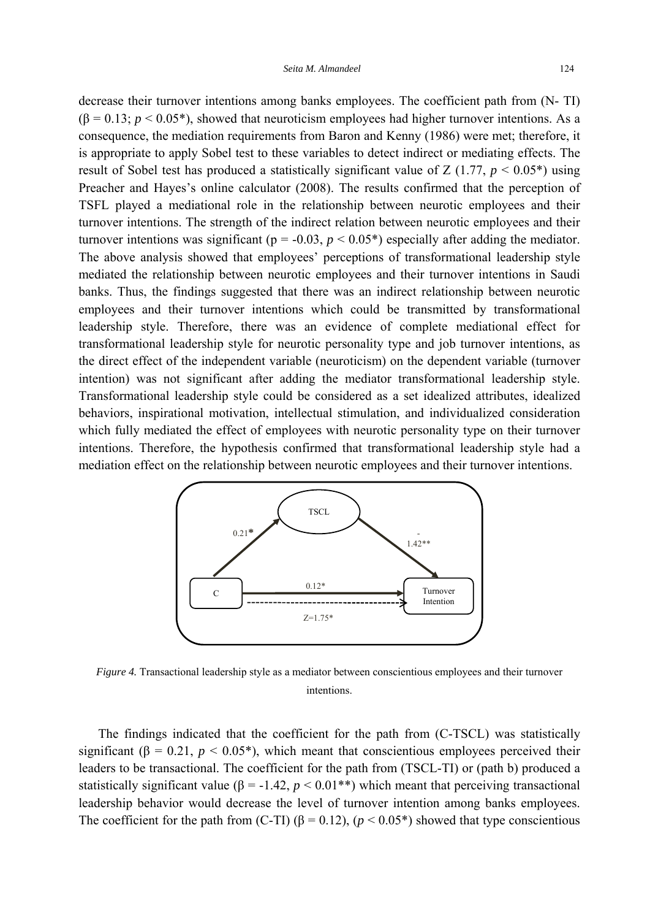decrease their turnover intentions among banks employees. The coefficient path from (N- TI)  $(β = 0.13; p < 0.05*)$ , showed that neuroticism employees had higher turnover intentions. As a consequence, the mediation requirements from Baron and Kenny (1986) were met; therefore, it is appropriate to apply Sobel test to these variables to detect indirect or mediating effects. The result of Sobel test has produced a statistically significant value of  $Z(1.77, p \le 0.05^*)$  using Preacher and Hayes's online calculator (2008). The results confirmed that the perception of TSFL played a mediational role in the relationship between neurotic employees and their turnover intentions. The strength of the indirect relation between neurotic employees and their turnover intentions was significant ( $p = -0.03$ ,  $p < 0.05^*$ ) especially after adding the mediator. The above analysis showed that employees' perceptions of transformational leadership style mediated the relationship between neurotic employees and their turnover intentions in Saudi banks. Thus, the findings suggested that there was an indirect relationship between neurotic employees and their turnover intentions which could be transmitted by transformational leadership style. Therefore, there was an evidence of complete mediational effect for transformational leadership style for neurotic personality type and job turnover intentions, as the direct effect of the independent variable (neuroticism) on the dependent variable (turnover intention) was not significant after adding the mediator transformational leadership style. Transformational leadership style could be considered as a set idealized attributes, idealized behaviors, inspirational motivation, intellectual stimulation, and individualized consideration which fully mediated the effect of employees with neurotic personality type on their turnover intentions. Therefore, the hypothesis confirmed that transformational leadership style had a mediation effect on the relationship between neurotic employees and their turnover intentions.



*Figure 4.* Transactional leadership style as a mediator between conscientious employees and their turnover intentions.

 The findings indicated that the coefficient for the path from (C-TSCL) was statistically significant ( $\beta = 0.21$ ,  $p < 0.05^*$ ), which meant that conscientious employees perceived their leaders to be transactional. The coefficient for the path from (TSCL-TI) or (path b) produced a statistically significant value ( $\beta$  = -1.42,  $p < 0.01**$ ) which meant that perceiving transactional leadership behavior would decrease the level of turnover intention among banks employees. The coefficient for the path from (C-TI) ( $\beta$  = 0.12), ( $p$  < 0.05<sup>\*</sup>) showed that type conscientious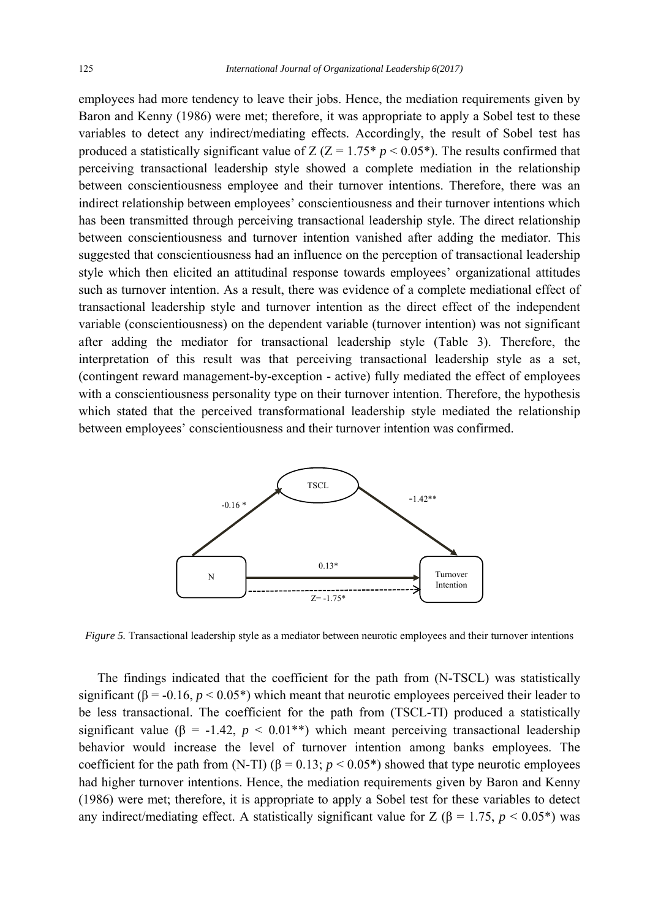employees had more tendency to leave their jobs. Hence, the mediation requirements given by Baron and Kenny (1986) were met; therefore, it was appropriate to apply a Sobel test to these variables to detect any indirect/mediating effects. Accordingly, the result of Sobel test has produced a statistically significant value of  $Z (Z = 1.75 * p < 0.05*)$ . The results confirmed that perceiving transactional leadership style showed a complete mediation in the relationship between conscientiousness employee and their turnover intentions. Therefore, there was an indirect relationship between employees' conscientiousness and their turnover intentions which has been transmitted through perceiving transactional leadership style. The direct relationship between conscientiousness and turnover intention vanished after adding the mediator. This suggested that conscientiousness had an influence on the perception of transactional leadership style which then elicited an attitudinal response towards employees' organizational attitudes such as turnover intention. As a result, there was evidence of a complete mediational effect of transactional leadership style and turnover intention as the direct effect of the independent variable (conscientiousness) on the dependent variable (turnover intention) was not significant after adding the mediator for transactional leadership style (Table 3). Therefore, the interpretation of this result was that perceiving transactional leadership style as a set, (contingent reward management-by-exception - active) fully mediated the effect of employees with a conscientiousness personality type on their turnover intention. Therefore, the hypothesis which stated that the perceived transformational leadership style mediated the relationship between employees' conscientiousness and their turnover intention was confirmed.



*Figure 5.* Transactional leadership style as a mediator between neurotic employees and their turnover intentions

 The findings indicated that the coefficient for the path from (N-TSCL) was statistically significant ( $\beta$  = -0.16, *p* < 0.05<sup>\*</sup>) which meant that neurotic employees perceived their leader to be less transactional. The coefficient for the path from (TSCL-TI) produced a statistically significant value ( $\beta$  = -1.42,  $p < 0.01**$ ) which meant perceiving transactional leadership behavior would increase the level of turnover intention among banks employees. The coefficient for the path from (N-TI) ( $\beta$  = 0.13; *p* < 0.05<sup>\*</sup>) showed that type neurotic employees had higher turnover intentions. Hence, the mediation requirements given by Baron and Kenny (1986) were met; therefore, it is appropriate to apply a Sobel test for these variables to detect any indirect/mediating effect. A statistically significant value for Z ( $\beta$  = 1.75, *p* < 0.05<sup>\*</sup>) was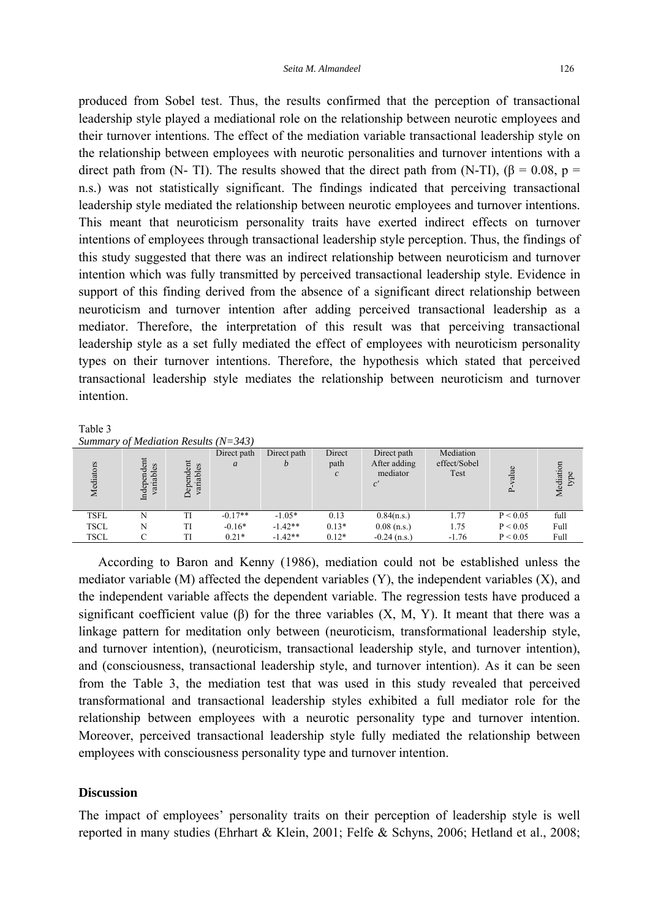produced from Sobel test. Thus, the results confirmed that the perception of transactional leadership style played a mediational role on the relationship between neurotic employees and their turnover intentions. The effect of the mediation variable transactional leadership style on the relationship between employees with neurotic personalities and turnover intentions with a direct path from (N- TI). The results showed that the direct path from (N-TI), ( $\beta = 0.08$ , p = n.s.) was not statistically significant. The findings indicated that perceiving transactional leadership style mediated the relationship between neurotic employees and turnover intentions. This meant that neuroticism personality traits have exerted indirect effects on turnover intentions of employees through transactional leadership style perception. Thus, the findings of this study suggested that there was an indirect relationship between neuroticism and turnover intention which was fully transmitted by perceived transactional leadership style. Evidence in support of this finding derived from the absence of a significant direct relationship between neuroticism and turnover intention after adding perceived transactional leadership as a mediator. Therefore, the interpretation of this result was that perceiving transactional leadership style as a set fully mediated the effect of employees with neuroticism personality types on their turnover intentions. Therefore, the hypothesis which stated that perceived transactional leadership style mediates the relationship between neuroticism and turnover intention.

#### Table 3 *Summary of Mediation Results (N=343)*

| $summin$ $V$ $V$ $V$ in equation results $V$ $\rightarrow$ $\rightarrow$<br>Mediators | <b>es</b><br>පි<br>iabl<br>æ<br>$\overline{a}$<br>İnd | endent<br>variables<br>e,<br>△ | Direct path<br>a | Direct path | Direct<br>path<br>$\mathcal{C}$ | Direct path<br>After adding<br>mediator | Mediation<br>effect/Sobel<br>Test | $\mathbf{H}$ | ediati<br>$\circ$<br>ع |
|---------------------------------------------------------------------------------------|-------------------------------------------------------|--------------------------------|------------------|-------------|---------------------------------|-----------------------------------------|-----------------------------------|--------------|------------------------|
| <b>TSFL</b>                                                                           | N                                                     |                                | $-0.17**$        | $-1.05*$    | 0.13                            | 0.84(n.s.)                              | 1.77                              | P < 0.05     | full                   |
| <b>TSCL</b>                                                                           | N                                                     |                                | $-0.16*$         | $-1.42**$   | $0.13*$                         | $0.08$ (n.s.)                           | 1.75                              | P < 0.05     | Full                   |
| <b>TSCL</b>                                                                           |                                                       |                                | $0.21*$          | $-1.42**$   | $0.12*$                         | $-0.24$ (n.s.)                          | $-1.76$                           | P < 0.05     | Full                   |

 According to Baron and Kenny (1986), mediation could not be established unless the mediator variable (M) affected the dependent variables (Y), the independent variables (X), and the independent variable affects the dependent variable. The regression tests have produced a significant coefficient value (β) for the three variables  $(X, M, Y)$ . It meant that there was a linkage pattern for meditation only between (neuroticism, transformational leadership style, and turnover intention), (neuroticism, transactional leadership style, and turnover intention), and (consciousness, transactional leadership style, and turnover intention). As it can be seen from the Table 3, the mediation test that was used in this study revealed that perceived transformational and transactional leadership styles exhibited a full mediator role for the relationship between employees with a neurotic personality type and turnover intention. Moreover, perceived transactional leadership style fully mediated the relationship between employees with consciousness personality type and turnover intention.

# **Discussion**

The impact of employees' personality traits on their perception of leadership style is well reported in many studies (Ehrhart & Klein, 2001; Felfe & Schyns, 2006; Hetland et al., 2008;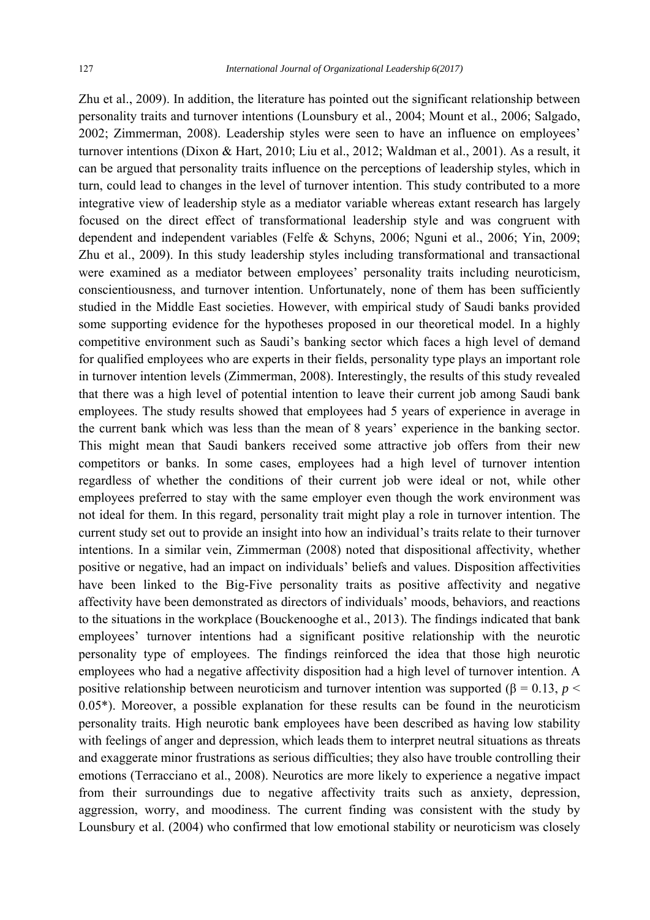Zhu et al., 2009). In addition, the literature has pointed out the significant relationship between personality traits and turnover intentions (Lounsbury et al., 2004; Mount et al., 2006; Salgado, 2002; Zimmerman, 2008). Leadership styles were seen to have an influence on employees' turnover intentions (Dixon & Hart, 2010; Liu et al., 2012; Waldman et al., 2001). As a result, it can be argued that personality traits influence on the perceptions of leadership styles, which in turn, could lead to changes in the level of turnover intention. This study contributed to a more integrative view of leadership style as a mediator variable whereas extant research has largely focused on the direct effect of transformational leadership style and was congruent with dependent and independent variables (Felfe & Schyns, 2006; Nguni et al., 2006; Yin, 2009; Zhu et al., 2009). In this study leadership styles including transformational and transactional were examined as a mediator between employees' personality traits including neuroticism, conscientiousness, and turnover intention. Unfortunately, none of them has been sufficiently studied in the Middle East societies. However, with empirical study of Saudi banks provided some supporting evidence for the hypotheses proposed in our theoretical model. In a highly competitive environment such as Saudi's banking sector which faces a high level of demand for qualified employees who are experts in their fields, personality type plays an important role in turnover intention levels (Zimmerman, 2008). Interestingly, the results of this study revealed that there was a high level of potential intention to leave their current job among Saudi bank employees. The study results showed that employees had 5 years of experience in average in the current bank which was less than the mean of 8 years' experience in the banking sector. This might mean that Saudi bankers received some attractive job offers from their new competitors or banks. In some cases, employees had a high level of turnover intention regardless of whether the conditions of their current job were ideal or not, while other employees preferred to stay with the same employer even though the work environment was not ideal for them. In this regard, personality trait might play a role in turnover intention. The current study set out to provide an insight into how an individual's traits relate to their turnover intentions. In a similar vein, Zimmerman (2008) noted that dispositional affectivity, whether positive or negative, had an impact on individuals' beliefs and values. Disposition affectivities have been linked to the Big-Five personality traits as positive affectivity and negative affectivity have been demonstrated as directors of individuals' moods, behaviors, and reactions to the situations in the workplace (Bouckenooghe et al., 2013). The findings indicated that bank employees' turnover intentions had a significant positive relationship with the neurotic personality type of employees. The findings reinforced the idea that those high neurotic employees who had a negative affectivity disposition had a high level of turnover intention. A positive relationship between neuroticism and turnover intention was supported ( $\beta$  = 0.13, *p* < 0.05\*). Moreover, a possible explanation for these results can be found in the neuroticism personality traits. High neurotic bank employees have been described as having low stability with feelings of anger and depression, which leads them to interpret neutral situations as threats and exaggerate minor frustrations as serious difficulties; they also have trouble controlling their emotions (Terracciano et al., 2008). Neurotics are more likely to experience a negative impact from their surroundings due to negative affectivity traits such as anxiety, depression, aggression, worry, and moodiness. The current finding was consistent with the study by Lounsbury et al. (2004) who confirmed that low emotional stability or neuroticism was closely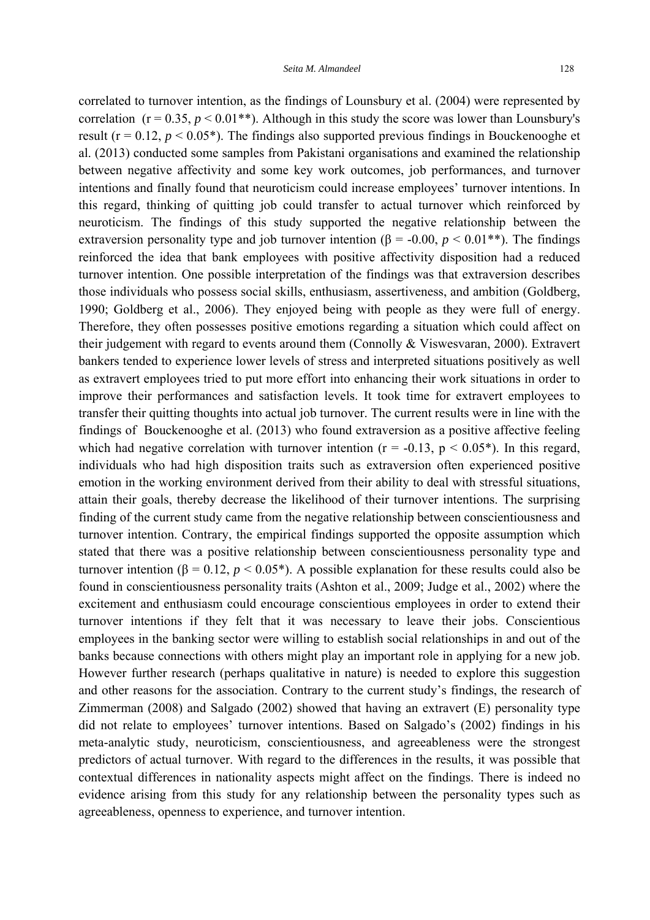correlated to turnover intention, as the findings of Lounsbury et al. (2004) were represented by correlation ( $r = 0.35$ ,  $p < 0.01$ <sup>\*\*</sup>). Although in this study the score was lower than Lounsbury's result ( $r = 0.12$ ,  $p < 0.05^*$ ). The findings also supported previous findings in Bouckenooghe et al. (2013) conducted some samples from Pakistani organisations and examined the relationship between negative affectivity and some key work outcomes, job performances, and turnover intentions and finally found that neuroticism could increase employees' turnover intentions. In this regard, thinking of quitting job could transfer to actual turnover which reinforced by neuroticism. The findings of this study supported the negative relationship between the extraversion personality type and job turnover intention ( $\beta$  = -0.00, *p* < 0.01<sup>\*\*</sup>). The findings reinforced the idea that bank employees with positive affectivity disposition had a reduced turnover intention. One possible interpretation of the findings was that extraversion describes those individuals who possess social skills, enthusiasm, assertiveness, and ambition (Goldberg, 1990; Goldberg et al., 2006). They enjoyed being with people as they were full of energy. Therefore, they often possesses positive emotions regarding a situation which could affect on their judgement with regard to events around them (Connolly & Viswesvaran, 2000). Extravert bankers tended to experience lower levels of stress and interpreted situations positively as well as extravert employees tried to put more effort into enhancing their work situations in order to improve their performances and satisfaction levels. It took time for extravert employees to transfer their quitting thoughts into actual job turnover. The current results were in line with the findings of Bouckenooghe et al. (2013) who found extraversion as a positive affective feeling which had negative correlation with turnover intention ( $r = -0.13$ ,  $p \le 0.05^*$ ). In this regard, individuals who had high disposition traits such as extraversion often experienced positive emotion in the working environment derived from their ability to deal with stressful situations, attain their goals, thereby decrease the likelihood of their turnover intentions. The surprising finding of the current study came from the negative relationship between conscientiousness and turnover intention. Contrary, the empirical findings supported the opposite assumption which stated that there was a positive relationship between conscientiousness personality type and turnover intention (β = 0.12,  $p < 0.05^*$ ). A possible explanation for these results could also be found in conscientiousness personality traits (Ashton et al., 2009; Judge et al., 2002) where the excitement and enthusiasm could encourage conscientious employees in order to extend their turnover intentions if they felt that it was necessary to leave their jobs. Conscientious employees in the banking sector were willing to establish social relationships in and out of the banks because connections with others might play an important role in applying for a new job. However further research (perhaps qualitative in nature) is needed to explore this suggestion and other reasons for the association. Contrary to the current study's findings, the research of Zimmerman (2008) and Salgado (2002) showed that having an extravert (E) personality type did not relate to employees' turnover intentions. Based on Salgado's (2002) findings in his meta-analytic study, neuroticism, conscientiousness, and agreeableness were the strongest predictors of actual turnover. With regard to the differences in the results, it was possible that contextual differences in nationality aspects might affect on the findings. There is indeed no evidence arising from this study for any relationship between the personality types such as agreeableness, openness to experience, and turnover intention.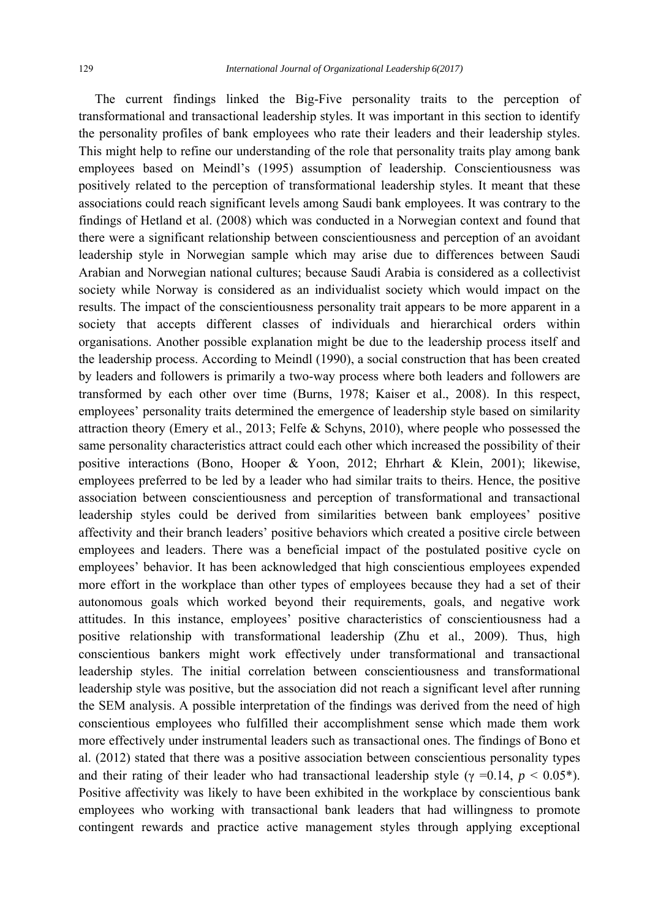The current findings linked the Big-Five personality traits to the perception of transformational and transactional leadership styles. It was important in this section to identify the personality profiles of bank employees who rate their leaders and their leadership styles. This might help to refine our understanding of the role that personality traits play among bank employees based on Meindl's (1995) assumption of leadership. Conscientiousness was positively related to the perception of transformational leadership styles. It meant that these associations could reach significant levels among Saudi bank employees. It was contrary to the findings of Hetland et al. (2008) which was conducted in a Norwegian context and found that there were a significant relationship between conscientiousness and perception of an avoidant leadership style in Norwegian sample which may arise due to differences between Saudi Arabian and Norwegian national cultures; because Saudi Arabia is considered as a collectivist society while Norway is considered as an individualist society which would impact on the results. The impact of the conscientiousness personality trait appears to be more apparent in a society that accepts different classes of individuals and hierarchical orders within organisations. Another possible explanation might be due to the leadership process itself and the leadership process. According to Meindl (1990), a social construction that has been created by leaders and followers is primarily a two-way process where both leaders and followers are transformed by each other over time (Burns, 1978; Kaiser et al., 2008). In this respect, employees' personality traits determined the emergence of leadership style based on similarity attraction theory (Emery et al., 2013; Felfe & Schyns, 2010), where people who possessed the same personality characteristics attract could each other which increased the possibility of their positive interactions (Bono, Hooper & Yoon, 2012; Ehrhart & Klein, 2001); likewise, employees preferred to be led by a leader who had similar traits to theirs. Hence, the positive association between conscientiousness and perception of transformational and transactional leadership styles could be derived from similarities between bank employees' positive affectivity and their branch leaders' positive behaviors which created a positive circle between employees and leaders. There was a beneficial impact of the postulated positive cycle on employees' behavior. It has been acknowledged that high conscientious employees expended more effort in the workplace than other types of employees because they had a set of their autonomous goals which worked beyond their requirements, goals, and negative work attitudes. In this instance, employees' positive characteristics of conscientiousness had a positive relationship with transformational leadership (Zhu et al., 2009). Thus, high conscientious bankers might work effectively under transformational and transactional leadership styles. The initial correlation between conscientiousness and transformational leadership style was positive, but the association did not reach a significant level after running the SEM analysis. A possible interpretation of the findings was derived from the need of high conscientious employees who fulfilled their accomplishment sense which made them work more effectively under instrumental leaders such as transactional ones. The findings of Bono et al. (2012) stated that there was a positive association between conscientious personality types and their rating of their leader who had transactional leadership style ( $\gamma = 0.14$ ,  $p < 0.05^*$ ). Positive affectivity was likely to have been exhibited in the workplace by conscientious bank employees who working with transactional bank leaders that had willingness to promote contingent rewards and practice active management styles through applying exceptional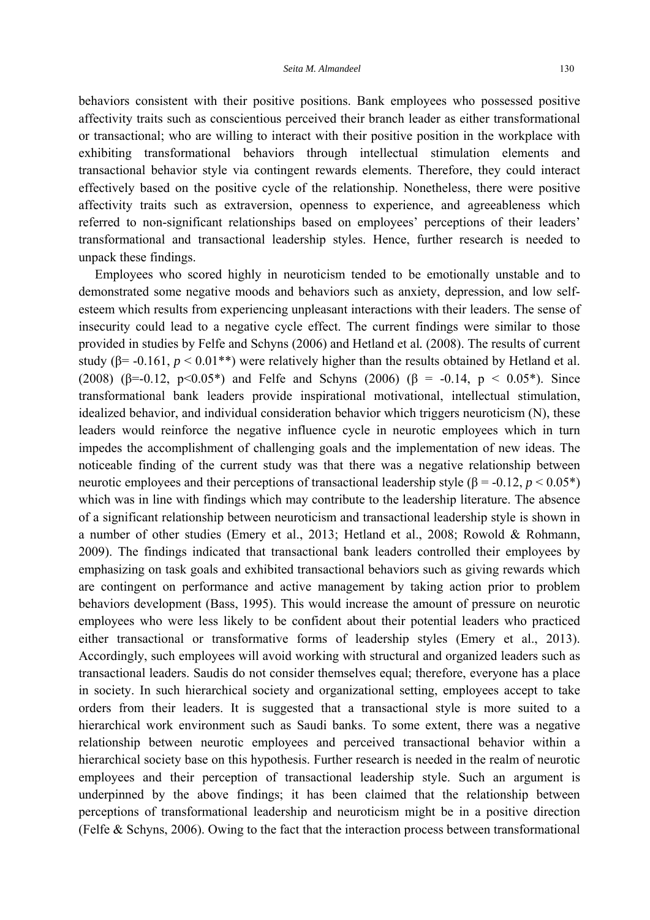behaviors consistent with their positive positions. Bank employees who possessed positive affectivity traits such as conscientious perceived their branch leader as either transformational or transactional; who are willing to interact with their positive position in the workplace with exhibiting transformational behaviors through intellectual stimulation elements and transactional behavior style via contingent rewards elements. Therefore, they could interact effectively based on the positive cycle of the relationship. Nonetheless, there were positive affectivity traits such as extraversion, openness to experience, and agreeableness which referred to non-significant relationships based on employees' perceptions of their leaders' transformational and transactional leadership styles. Hence, further research is needed to unpack these findings.

 Employees who scored highly in neuroticism tended to be emotionally unstable and to demonstrated some negative moods and behaviors such as anxiety, depression, and low selfesteem which results from experiencing unpleasant interactions with their leaders. The sense of insecurity could lead to a negative cycle effect. The current findings were similar to those provided in studies by Felfe and Schyns (2006) and Hetland et al*.* (2008). The results of current study ( $\beta$ = -0.161,  $p$  < 0.01<sup>\*\*</sup>) were relatively higher than the results obtained by Hetland et al. (2008) ( $\beta$ =-0.12, p<0.05<sup>\*</sup>) and Felfe and Schyns (2006) ( $\beta$  = -0.14, p < 0.05<sup>\*</sup>). Since transformational bank leaders provide inspirational motivational, intellectual stimulation, idealized behavior, and individual consideration behavior which triggers neuroticism (N), these leaders would reinforce the negative influence cycle in neurotic employees which in turn impedes the accomplishment of challenging goals and the implementation of new ideas. The noticeable finding of the current study was that there was a negative relationship between neurotic employees and their perceptions of transactional leadership style  $(\beta = -0.12, p \le 0.05^*)$ which was in line with findings which may contribute to the leadership literature. The absence of a significant relationship between neuroticism and transactional leadership style is shown in a number of other studies (Emery et al., 2013; Hetland et al., 2008; Rowold & Rohmann, 2009). The findings indicated that transactional bank leaders controlled their employees by emphasizing on task goals and exhibited transactional behaviors such as giving rewards which are contingent on performance and active management by taking action prior to problem behaviors development (Bass, 1995). This would increase the amount of pressure on neurotic employees who were less likely to be confident about their potential leaders who practiced either transactional or transformative forms of leadership styles (Emery et al., 2013). Accordingly, such employees will avoid working with structural and organized leaders such as transactional leaders. Saudis do not consider themselves equal; therefore, everyone has a place in society. In such hierarchical society and organizational setting, employees accept to take orders from their leaders. It is suggested that a transactional style is more suited to a hierarchical work environment such as Saudi banks. To some extent, there was a negative relationship between neurotic employees and perceived transactional behavior within a hierarchical society base on this hypothesis. Further research is needed in the realm of neurotic employees and their perception of transactional leadership style. Such an argument is underpinned by the above findings; it has been claimed that the relationship between perceptions of transformational leadership and neuroticism might be in a positive direction (Felfe & Schyns, 2006). Owing to the fact that the interaction process between transformational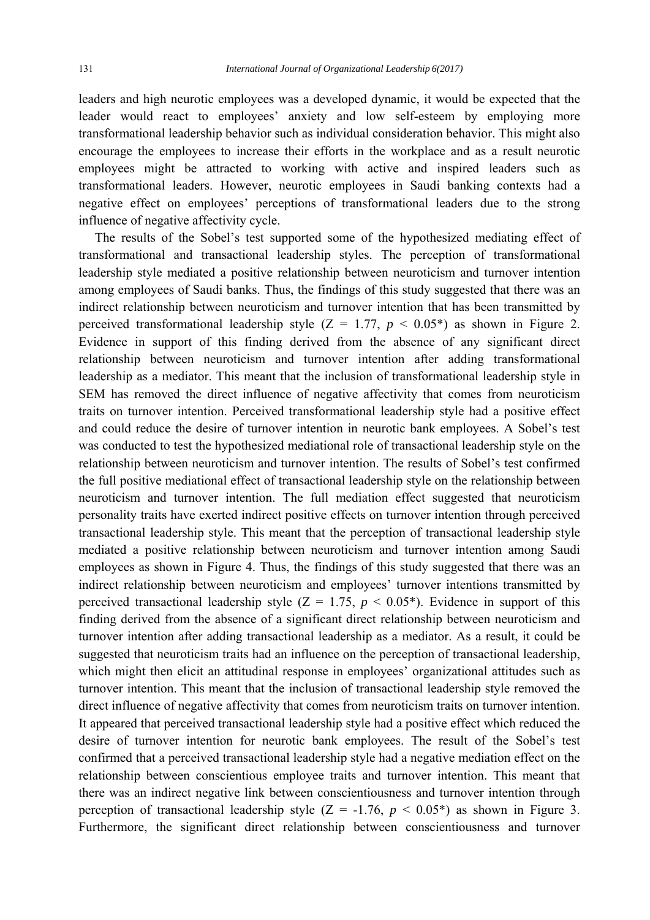leaders and high neurotic employees was a developed dynamic, it would be expected that the leader would react to employees' anxiety and low self-esteem by employing more transformational leadership behavior such as individual consideration behavior. This might also encourage the employees to increase their efforts in the workplace and as a result neurotic employees might be attracted to working with active and inspired leaders such as transformational leaders. However, neurotic employees in Saudi banking contexts had a negative effect on employees' perceptions of transformational leaders due to the strong influence of negative affectivity cycle.

 The results of the Sobel's test supported some of the hypothesized mediating effect of transformational and transactional leadership styles. The perception of transformational leadership style mediated a positive relationship between neuroticism and turnover intention among employees of Saudi banks. Thus, the findings of this study suggested that there was an indirect relationship between neuroticism and turnover intention that has been transmitted by perceived transformational leadership style  $(Z = 1.77, p < 0.05^*)$  as shown in Figure 2. Evidence in support of this finding derived from the absence of any significant direct relationship between neuroticism and turnover intention after adding transformational leadership as a mediator. This meant that the inclusion of transformational leadership style in SEM has removed the direct influence of negative affectivity that comes from neuroticism traits on turnover intention. Perceived transformational leadership style had a positive effect and could reduce the desire of turnover intention in neurotic bank employees. A Sobel's test was conducted to test the hypothesized mediational role of transactional leadership style on the relationship between neuroticism and turnover intention. The results of Sobel's test confirmed the full positive mediational effect of transactional leadership style on the relationship between neuroticism and turnover intention. The full mediation effect suggested that neuroticism personality traits have exerted indirect positive effects on turnover intention through perceived transactional leadership style. This meant that the perception of transactional leadership style mediated a positive relationship between neuroticism and turnover intention among Saudi employees as shown in Figure 4. Thus, the findings of this study suggested that there was an indirect relationship between neuroticism and employees' turnover intentions transmitted by perceived transactional leadership style  $(Z = 1.75, p < 0.05^*)$ . Evidence in support of this finding derived from the absence of a significant direct relationship between neuroticism and turnover intention after adding transactional leadership as a mediator. As a result, it could be suggested that neuroticism traits had an influence on the perception of transactional leadership, which might then elicit an attitudinal response in employees' organizational attitudes such as turnover intention. This meant that the inclusion of transactional leadership style removed the direct influence of negative affectivity that comes from neuroticism traits on turnover intention. It appeared that perceived transactional leadership style had a positive effect which reduced the desire of turnover intention for neurotic bank employees. The result of the Sobel's test confirmed that a perceived transactional leadership style had a negative mediation effect on the relationship between conscientious employee traits and turnover intention. This meant that there was an indirect negative link between conscientiousness and turnover intention through perception of transactional leadership style  $(Z = -1.76, p < 0.05^*)$  as shown in Figure 3. Furthermore, the significant direct relationship between conscientiousness and turnover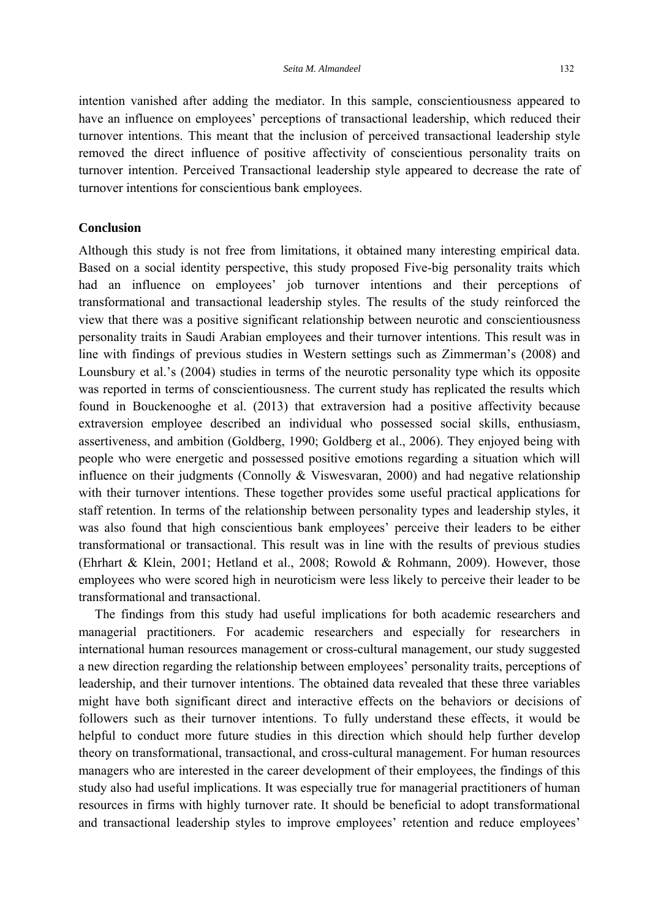intention vanished after adding the mediator. In this sample, conscientiousness appeared to have an influence on employees' perceptions of transactional leadership, which reduced their turnover intentions. This meant that the inclusion of perceived transactional leadership style removed the direct influence of positive affectivity of conscientious personality traits on turnover intention. Perceived Transactional leadership style appeared to decrease the rate of turnover intentions for conscientious bank employees.

## **Conclusion**

Although this study is not free from limitations, it obtained many interesting empirical data. Based on a social identity perspective, this study proposed Five-big personality traits which had an influence on employees' job turnover intentions and their perceptions of transformational and transactional leadership styles. The results of the study reinforced the view that there was a positive significant relationship between neurotic and conscientiousness personality traits in Saudi Arabian employees and their turnover intentions. This result was in line with findings of previous studies in Western settings such as Zimmerman's (2008) and Lounsbury et al.'s (2004) studies in terms of the neurotic personality type which its opposite was reported in terms of conscientiousness. The current study has replicated the results which found in Bouckenooghe et al. (2013) that extraversion had a positive affectivity because extraversion employee described an individual who possessed social skills, enthusiasm, assertiveness, and ambition (Goldberg, 1990; Goldberg et al., 2006). They enjoyed being with people who were energetic and possessed positive emotions regarding a situation which will influence on their judgments (Connolly  $&$  Viswesvaran, 2000) and had negative relationship with their turnover intentions. These together provides some useful practical applications for staff retention. In terms of the relationship between personality types and leadership styles, it was also found that high conscientious bank employees' perceive their leaders to be either transformational or transactional. This result was in line with the results of previous studies (Ehrhart & Klein, 2001; Hetland et al., 2008; Rowold & Rohmann, 2009). However, those employees who were scored high in neuroticism were less likely to perceive their leader to be transformational and transactional.

 The findings from this study had useful implications for both academic researchers and managerial practitioners. For academic researchers and especially for researchers in international human resources management or cross-cultural management, our study suggested a new direction regarding the relationship between employees' personality traits, perceptions of leadership, and their turnover intentions. The obtained data revealed that these three variables might have both significant direct and interactive effects on the behaviors or decisions of followers such as their turnover intentions. To fully understand these effects, it would be helpful to conduct more future studies in this direction which should help further develop theory on transformational, transactional, and cross-cultural management. For human resources managers who are interested in the career development of their employees, the findings of this study also had useful implications. It was especially true for managerial practitioners of human resources in firms with highly turnover rate. It should be beneficial to adopt transformational and transactional leadership styles to improve employees' retention and reduce employees'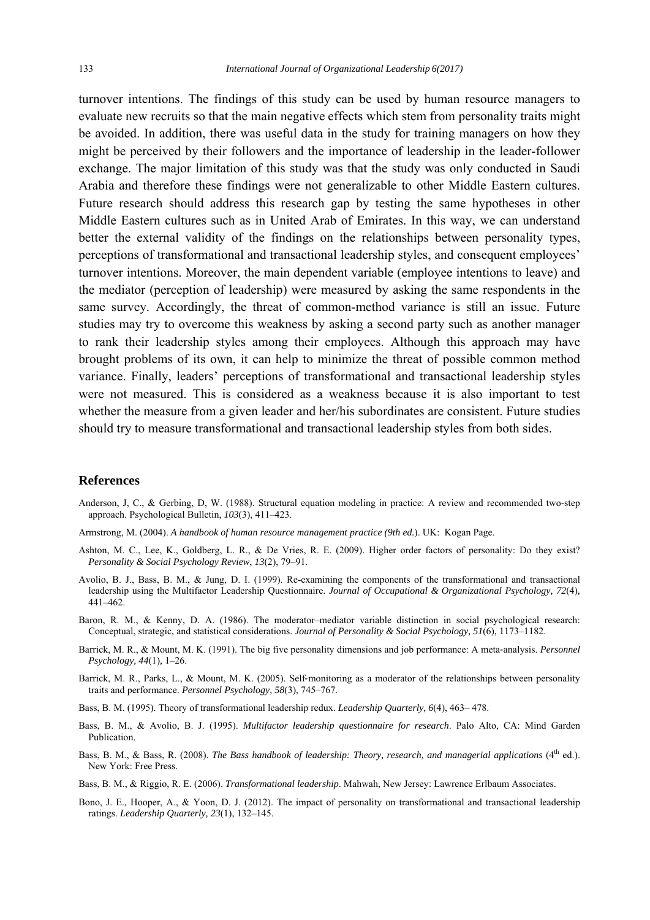turnover intentions. The findings of this study can be used by human resource managers to evaluate new recruits so that the main negative effects which stem from personality traits might be avoided. In addition, there was useful data in the study for training managers on how they might be perceived by their followers and the importance of leadership in the leader-follower exchange. The major limitation of this study was that the study was only conducted in Saudi Arabia and therefore these findings were not generalizable to other Middle Eastern cultures. Future research should address this research gap by testing the same hypotheses in other Middle Eastern cultures such as in United Arab of Emirates. In this way, we can understand better the external validity of the findings on the relationships between personality types, perceptions of transformational and transactional leadership styles, and consequent employees' turnover intentions. Moreover, the main dependent variable (employee intentions to leave) and the mediator (perception of leadership) were measured by asking the same respondents in the same survey. Accordingly, the threat of common-method variance is still an issue. Future studies may try to overcome this weakness by asking a second party such as another manager to rank their leadership styles among their employees. Although this approach may have brought problems of its own, it can help to minimize the threat of possible common method variance. Finally, leaders' perceptions of transformational and transactional leadership styles were not measured. This is considered as a weakness because it is also important to test whether the measure from a given leader and her/his subordinates are consistent. Future studies should try to measure transformational and transactional leadership styles from both sides.

#### **References**

- Anderson, J, C., & Gerbing, D, W. (1988). Structural equation modeling in practice: A review and recommended two-step approach. Psychological Bulletin, *103*(3), 411–423.
- Armstrong, M. (2004). *A handbook of human resource management practice (9th ed.*). UK: Kogan Page.
- Ashton, M. C., Lee, K., Goldberg, L. R., & De Vries, R. E. (2009). Higher order factors of personality: Do they exist? *Personality & Social Psychology Review*, *13*(2), 79–91.
- Avolio, B. J., Bass, B. M., & Jung, D. I. (1999). Re-examining the components of the transformational and transactional leadership using the Multifactor Leadership Questionnaire. *Journal of Occupational & Organizational Psychology, 72*(4)*,* 441–462.
- Baron, R. M., & Kenny, D. A. (1986). The moderator–mediator variable distinction in social psychological research: Conceptual, strategic, and statistical considerations. *Journal of Personality & Social Psychology, 51*(6)*,* 1173–1182.
- Barrick, M. R., & Mount, M. K. (1991). The big five personality dimensions and job performance: A meta-analysis. *Personnel Psychology, 44*(1)*,* 1–26.
- Barrick, M. R., Parks, L., & Mount, M. K. (2005). Self-monitoring as a moderator of the relationships between personality traits and performance. *Personnel Psychology, 58*(3), 745–767.
- Bass, B. M. (1995). Theory of transformational leadership redux. *Leadership Quarterly, 6*(4), 463– 478.
- Bass, B. M., & Avolio, B. J. (1995). *Multifactor leadership questionnaire for research*. Palo Alto, CA: Mind Garden Publication.
- Bass, B. M., & Bass, R. (2008). *The Bass handbook of leadership: Theory, research, and managerial applications* (4<sup>th</sup> ed.). New York: Free Press.
- Bass, B. M., & Riggio, R. E. (2006). *Transformational leadership*. Mahwah, New Jersey: Lawrence Erlbaum Associates.
- Bono, J. E., Hooper, A., & Yoon, D. J. (2012). The impact of personality on transformational and transactional leadership ratings. *Leadership Quarterly, 23*(1), 132–145.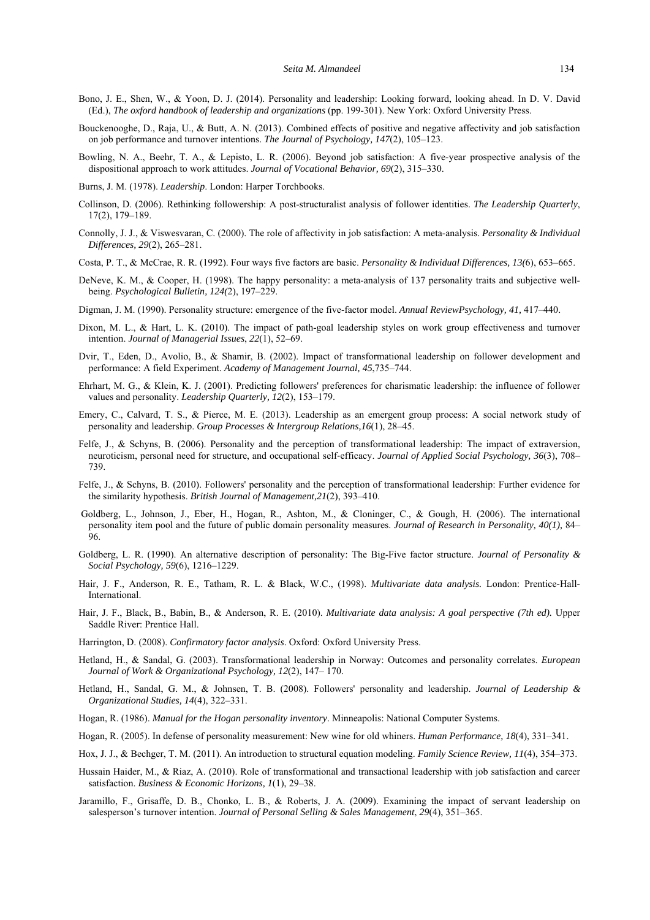- Bono, J. E., Shen, W., & Yoon, D. J. (2014). Personality and leadership: Looking forward, looking ahead. In D. V. David (Ed.), *The oxford handbook of leadership and organizations* (pp. 199-301). New York: Oxford University Press.
- Bouckenooghe, D., Raja, U., & Butt, A. N. (2013). Combined effects of positive and negative affectivity and job satisfaction on job performance and turnover intentions. *The Journal of Psychology, 147*(2), 105–123.
- Bowling, N. A., Beehr, T. A., & Lepisto, L. R. (2006). Beyond job satisfaction: A five-year prospective analysis of the dispositional approach to work attitudes. *Journal of Vocational Behavior, 69*(2), 315–330.

Burns, J. M. (1978). *Leadership*. London: Harper Torchbooks.

- Collinson, D. (2006). Rethinking followership: A post-structuralist analysis of follower identities. *The Leadership Quarterly*, 17(2), 179–189.
- Connolly, J. J., & Viswesvaran, C. (2000). The role of affectivity in job satisfaction: A meta-analysis. *Personality & Individual Differences, 29*(2), 265–281.
- Costa, P. T., & McCrae, R. R. (1992). Four ways five factors are basic. *Personality & Individual Differences, 13(*6), 653–665.
- DeNeve, K. M., & Cooper, H. (1998). The happy personality: a meta-analysis of 137 personality traits and subjective wellbeing. *Psychological Bulletin, 124(*2), 197–229.
- Digman, J. M. (1990). Personality structure: emergence of the five-factor model. *Annual ReviewPsychology, 41,* 417–440.
- Dixon, M. L., & Hart, L. K. (2010). The impact of path-goal leadership styles on work group effectiveness and turnover intention. *Journal of Managerial Issues*, *22*(1), 52–69.
- Dvir, T., Eden, D., Avolio, B., & Shamir, B. (2002). Impact of transformational leadership on follower development and performance: A field Experiment. *Academy of Management Journal, 45*,735–744.
- Ehrhart, M. G., & Klein, K. J. (2001). Predicting followers' preferences for charismatic leadership: the influence of follower values and personality. *Leadership Quarterly, 12*(2), 153–179.
- Emery, C., Calvard, T. S., & Pierce, M. E. (2013). Leadership as an emergent group process: A social network study of personality and leadership. *Group Processes & Intergroup Relations,16*(1), 28–45.
- Felfe, J., & Schyns, B. (2006). Personality and the perception of transformational leadership: The impact of extraversion, neuroticism, personal need for structure, and occupational self‐efficacy. *Journal of Applied Social Psychology, 36*(3), 708– 739.
- Felfe, J., & Schyns, B. (2010). Followers' personality and the perception of transformational leadership: Further evidence for the similarity hypothesis. *British Journal of Management,21*(2), 393–410.
- Goldberg, L., Johnson, J., Eber, H., Hogan, R., Ashton, M., & Cloninger, C., & Gough, H. (2006). The international personality item pool and the future of public domain personality measures. *Journal of Research in Personality, 40(1),* 84– 96.
- Goldberg, L. R. (1990). An alternative description of personality: The Big-Five factor structure. *Journal of Personality & Social Psychology, 59*(6), 1216–1229.
- Hair, J. F., Anderson, R. E., Tatham, R. L. & Black, W.C., (1998). *Multivariate data analysis.* London: Prentice-Hall-International.
- Hair, J. F., Black, B., Babin, B., & Anderson, R. E. (2010). *Multivariate data analysis: A goal perspective (7th ed).* Upper Saddle River: Prentice Hall.
- Harrington, D. (2008). *Confirmatory factor analysis*. Oxford: Oxford University Press.
- Hetland, H., & Sandal, G. (2003). Transformational leadership in Norway: Outcomes and personality correlates. *European Journal of Work & Organizational Psychology, 12*(2), 147– 170.
- Hetland, H., Sandal, G. M., & Johnsen, T. B. (2008). Followers' personality and leadership. *Journal of Leadership & Organizational Studies, 14*(4), 322–331.
- Hogan, R. (1986). *Manual for the Hogan personality inventory*. Minneapolis: National Computer Systems.
- Hogan, R. (2005). In defense of personality measurement: New wine for old whiners. *Human Performance, 18*(4), 331–341.
- Hox, J. J., & Bechger, T. M. (2011). An introduction to structural equation modeling. *Family Science Review, 11*(4), 354–373.
- Hussain Haider, M., & Riaz, A. (2010). Role of transformational and transactional leadership with job satisfaction and career satisfaction. *Business & Economic Horizons, 1*(1), 29–38.
- Jaramillo, F., Grisaffe, D. B., Chonko, L. B., & Roberts, J. A. (2009). Examining the impact of servant leadership on salesperson's turnover intention. *Journal of Personal Selling & Sales Management*, *29*(4), 351–365.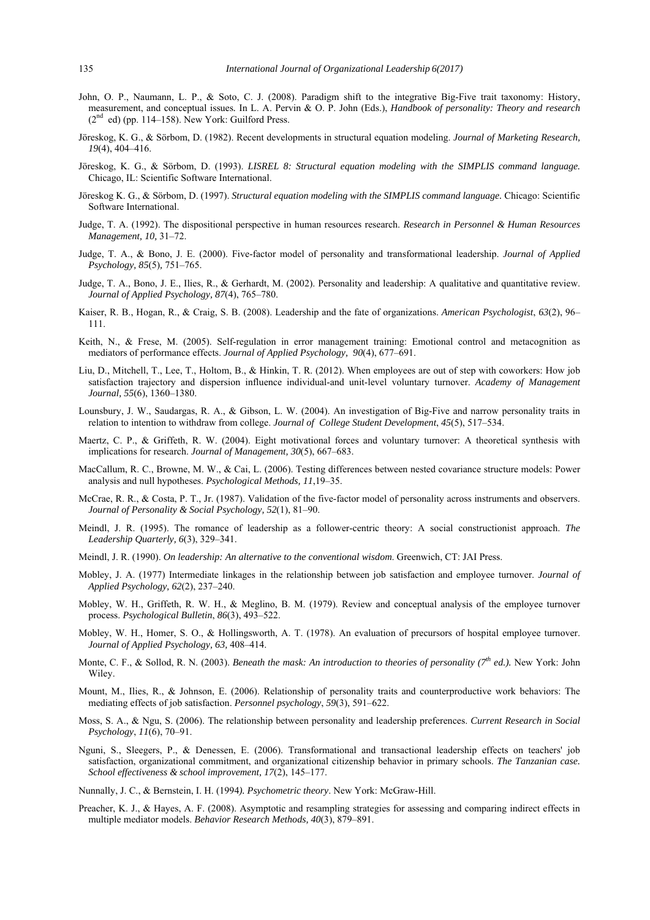- John, O. P., Naumann, L. P., & Soto, C. J. (2008). Paradigm shift to the integrative Big-Five trait taxonomy: History, measurement, and conceptual issues*.* In L. A. Pervin & O. P. John (Eds.), *Handbook of personality: Theory and research*   $(2^{nd}$  ed) (pp. 114–158). New York: Guilford Press.
- Jöreskog, K. G., & Sörbom, D. (1982). Recent developments in structural equation modeling. *Journal of Marketing Research, 19*(4), 404–416.
- Jöreskog, K. G., & Sörbom, D. (1993). *LISREL 8: Structural equation modeling with the SIMPLIS command language.*  Chicago, IL: Scientific Software International.
- Jöreskog K. G., & Sörbom, D. (1997). *Structural equation modeling with the SIMPLIS command language.* Chicago: Scientific Software International.
- Judge, T. A. (1992). The dispositional perspective in human resources research. *Research in Personnel & Human Resources Management, 10,* 31–72.
- Judge, T. A., & Bono, J. E. (2000). Five-factor model of personality and transformational leadership. *Journal of Applied Psychology, 85*(5)*,* 751–765.
- Judge, T. A., Bono, J. E., Ilies, R., & Gerhardt, M. (2002). Personality and leadership: A qualitative and quantitative review. *Journal of Applied Psychology, 87*(4), 765–780.
- Kaiser, R. B., Hogan, R., & Craig, S. B. (2008). Leadership and the fate of organizations. *American Psychologist*, *63*(2), 96– 111.
- Keith, N., & Frese, M. (2005). Self-regulation in error management training: Emotional control and metacognition as mediators of performance effects. *Journal of Applied Psychology, 90*(4), 677–691.
- Liu, D., Mitchell, T., Lee, T., Holtom, B., & Hinkin, T. R. (2012). When employees are out of step with coworkers: How job satisfaction trajectory and dispersion influence individual-and unit-level voluntary turnover. *Academy of Management Journal, 55*(6), 1360–1380.
- Lounsbury, J. W., Saudargas, R. A., & Gibson, L. W. (2004). An investigation of Big-Five and narrow personality traits in relation to intention to withdraw from college. *Journal of College Student Development*, *45*(5), 517–534.
- Maertz, C. P., & Griffeth, R. W. (2004). Eight motivational forces and voluntary turnover: A theoretical synthesis with implications for research. *Journal of Management, 30*(5), 667–683.
- MacCallum, R. C., Browne, M. W., & Cai, L. (2006). Testing differences between nested covariance structure models: Power analysis and null hypotheses. *Psychological Methods, 11*,19–35.
- McCrae, R. R., & Costa, P. T., Jr. (1987). Validation of the five-factor model of personality across instruments and observers. *Journal of Personality & Social Psychology, 52*(1), 81–90.
- Meindl, J. R. (1995). The romance of leadership as a follower-centric theory: A social constructionist approach. *The Leadership Quarterly, 6*(3), 329–341.
- Meindl, J. R. (1990). *On leadership: An alternative to the conventional wisdom*. Greenwich, CT: JAI Press.
- Mobley, J. A. (1977) Intermediate linkages in the relationship between job satisfaction and employee turnover. *Journal of Applied Psychology, 62*(2), 237–240.
- Mobley, W. H., Griffeth, R. W. H., & Meglino, B. M. (1979). Review and conceptual analysis of the employee turnover process. *Psychological Bulletin*, *86*(3), 493–522.
- Mobley, W. H., Homer, S. O., & Hollingsworth, A. T. (1978). An evaluation of precursors of hospital employee turnover. *Journal of Applied Psychology, 63,* 408–414.
- Monte, C. F., & Sollod, R. N. (2003). *Beneath the mask: An introduction to theories of personality* (7<sup>th</sup> ed.). New York: John Wiley.
- Mount, M., Ilies, R., & Johnson, E. (2006). Relationship of personality traits and counterproductive work behaviors: The mediating effects of job satisfaction. *Personnel psychology*, *59*(3), 591–622.
- Moss, S. A., & Ngu, S. (2006). The relationship between personality and leadership preferences. *Current Research in Social Psychology*, *11*(6), 70–91.
- Nguni, S., Sleegers, P., & Denessen, E. (2006). Transformational and transactional leadership effects on teachers' job satisfaction, organizational commitment, and organizational citizenship behavior in primary schools. *The Tanzanian case. School effectiveness & school improvement, 17*(2), 145–177.
- Nunnally, J. C., & Bernstein, I. H. (1994*). Psychometric theory*. New York: McGraw-Hill.
- Preacher, K. J., & Hayes, A. F. (2008). Asymptotic and resampling strategies for assessing and comparing indirect effects in multiple mediator models. *Behavior Research Methods, 40*(3), 879–891.